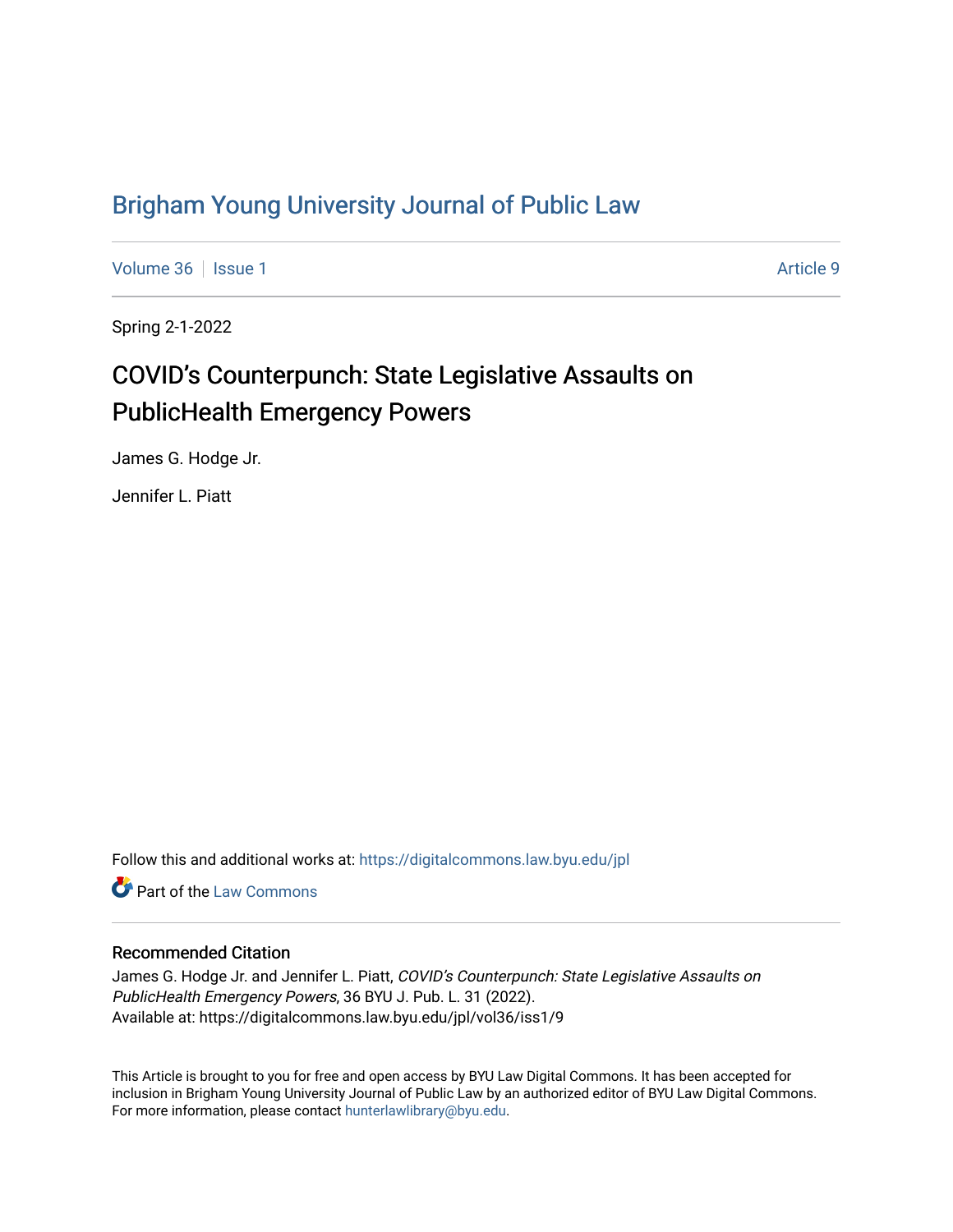## [Brigham Young University Journal of Public Law](https://digitalcommons.law.byu.edu/jpl)

[Volume 36](https://digitalcommons.law.byu.edu/jpl/vol36) | [Issue 1](https://digitalcommons.law.byu.edu/jpl/vol36/iss1) Article 9

Spring 2-1-2022

# COVID's Counterpunch: State Legislative Assaults on PublicHealth Emergency Powers

James G. Hodge Jr.

Jennifer L. Piatt

Follow this and additional works at: [https://digitalcommons.law.byu.edu/jpl](https://digitalcommons.law.byu.edu/jpl?utm_source=digitalcommons.law.byu.edu%2Fjpl%2Fvol36%2Fiss1%2F9&utm_medium=PDF&utm_campaign=PDFCoverPages) 

**C** Part of the [Law Commons](http://network.bepress.com/hgg/discipline/578?utm_source=digitalcommons.law.byu.edu%2Fjpl%2Fvol36%2Fiss1%2F9&utm_medium=PDF&utm_campaign=PDFCoverPages)

#### Recommended Citation

James G. Hodge Jr. and Jennifer L. Piatt, COVID's Counterpunch: State Legislative Assaults on PublicHealth Emergency Powers, 36 BYU J. Pub. L. 31 (2022). Available at: https://digitalcommons.law.byu.edu/jpl/vol36/iss1/9

This Article is brought to you for free and open access by BYU Law Digital Commons. It has been accepted for inclusion in Brigham Young University Journal of Public Law by an authorized editor of BYU Law Digital Commons. For more information, please contact [hunterlawlibrary@byu.edu](mailto:hunterlawlibrary@byu.edu).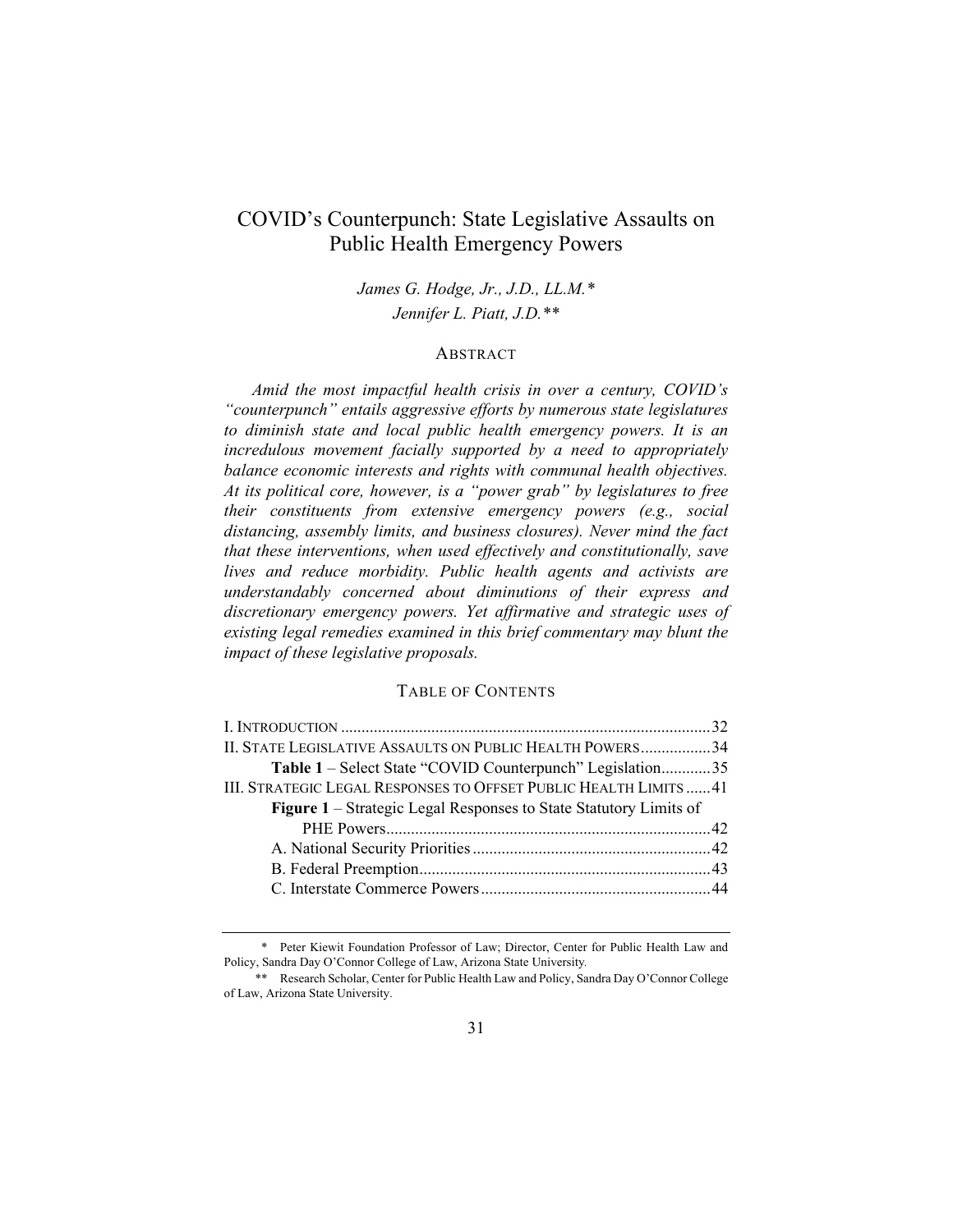### COVID's Counterpunch: State Legislative Assaults on Public Health Emergency Powers

*James G. Hodge, Jr., J.D., LL.M.\* Jennifer L. Piatt, J.D.\*\** 

#### **ABSTRACT**

*Amid the most impactful health crisis in over a century, COVID's "counterpunch" entails aggressive efforts by numerous state legislatures to diminish state and local public health emergency powers. It is an incredulous movement facially supported by a need to appropriately balance economic interests and rights with communal health objectives. At its political core, however, is a "power grab" by legislatures to free their constituents from extensive emergency powers (e.g., social distancing, assembly limits, and business closures). Never mind the fact that these interventions, when used effectively and constitutionally, save lives and reduce morbidity. Public health agents and activists are understandably concerned about diminutions of their express and discretionary emergency powers. Yet affirmative and strategic uses of existing legal remedies examined in this brief commentary may blunt the impact of these legislative proposals.* 

#### TABLE OF CONTENTS

| II. STATE LEGISLATIVE ASSAULTS ON PUBLIC HEALTH POWERS34                 |  |
|--------------------------------------------------------------------------|--|
| Table 1 – Select State "COVID Counterpunch" Legislation35                |  |
| III. STRATEGIC LEGAL RESPONSES TO OFFSET PUBLIC HEALTH LIMITS  41        |  |
| <b>Figure 1</b> – Strategic Legal Responses to State Statutory Limits of |  |
|                                                                          |  |
|                                                                          |  |
|                                                                          |  |
|                                                                          |  |
|                                                                          |  |

<sup>\*</sup> Peter Kiewit Foundation Professor of Law; Director, Center for Public Health Law and Policy, Sandra Day O'Connor College of Law, Arizona State University*.*

<sup>\*\*</sup> Research Scholar, Center for Public Health Law and Policy, Sandra Day O'Connor College of Law, Arizona State University.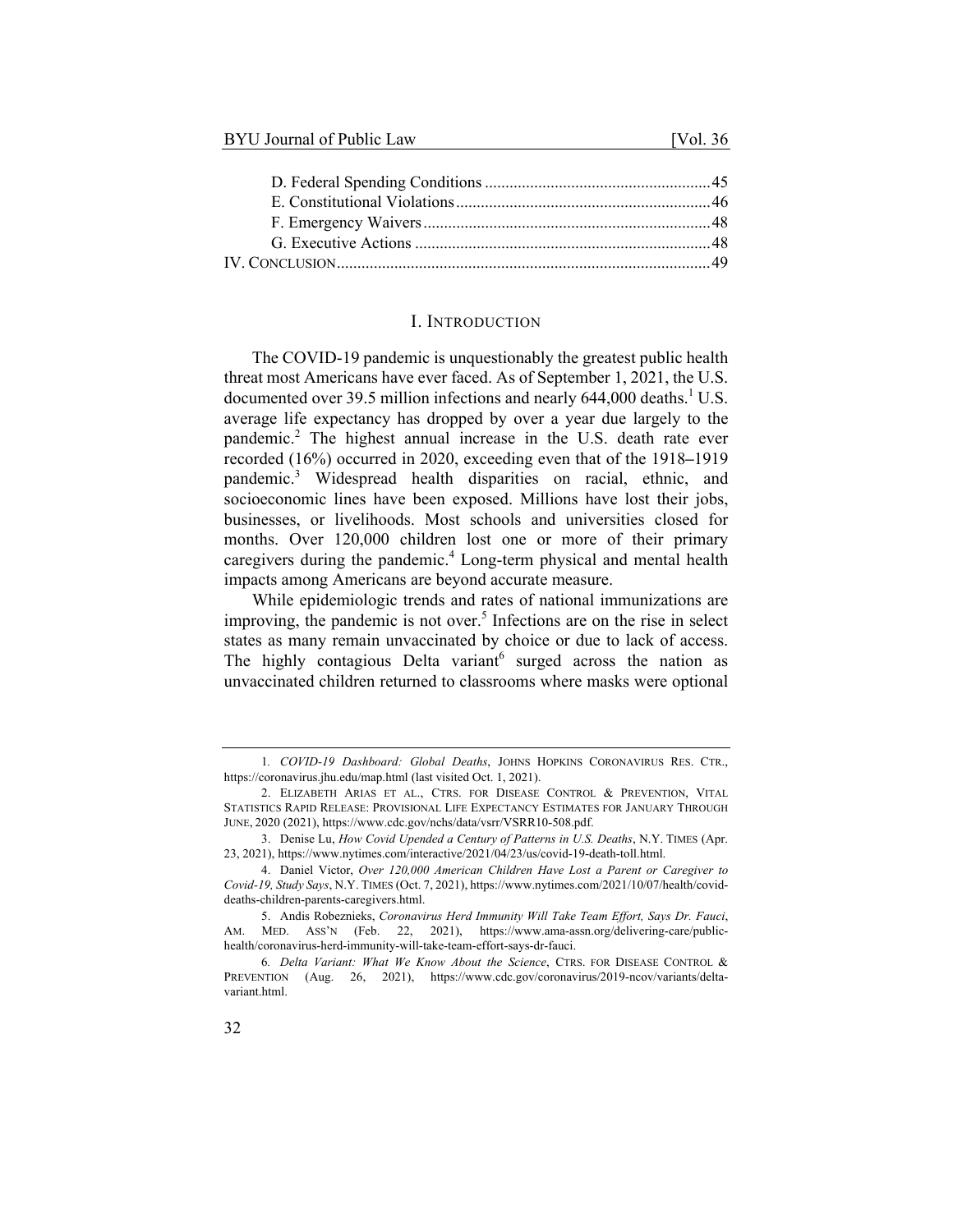#### I. INTRODUCTION

The COVID-19 pandemic is unquestionably the greatest public health threat most Americans have ever faced. As of September 1, 2021, the U.S. documented over 39.5 million infections and nearly  $644,000$  deaths.<sup>1</sup> U.S. average life expectancy has dropped by over a year due largely to the pandemic.<sup>2</sup> The highest annual increase in the U.S. death rate ever recorded (16%) occurred in 2020, exceeding even that of the 1918**–**1919 pandemic.<sup>3</sup> Widespread health disparities on racial, ethnic, and socioeconomic lines have been exposed. Millions have lost their jobs, businesses, or livelihoods. Most schools and universities closed for months. Over 120,000 children lost one or more of their primary caregivers during the pandemic.<sup>4</sup> Long-term physical and mental health impacts among Americans are beyond accurate measure.

While epidemiologic trends and rates of national immunizations are improving, the pandemic is not over.<sup>5</sup> Infections are on the rise in select states as many remain unvaccinated by choice or due to lack of access. The highly contagious Delta variant $6$  surged across the nation as unvaccinated children returned to classrooms where masks were optional

<sup>1</sup>*. COVID-19 Dashboard: Global Deaths*, JOHNS HOPKINS CORONAVIRUS RES. CTR., https://coronavirus.jhu.edu/map.html (last visited Oct. 1, 2021).

<sup>2.</sup> ELIZABETH ARIAS ET AL., CTRS. FOR DISEASE CONTROL & PREVENTION, VITAL STATISTICS RAPID RELEASE: PROVISIONAL LIFE EXPECTANCY ESTIMATES FOR JANUARY THROUGH JUNE, 2020 (2021), https://www.cdc.gov/nchs/data/vsrr/VSRR10-508.pdf.

<sup>3.</sup> Denise Lu, *How Covid Upended a Century of Patterns in U.S. Deaths*, N.Y. TIMES (Apr. 23, 2021), https://www.nytimes.com/interactive/2021/04/23/us/covid-19-death-toll.html.

<sup>4.</sup> Daniel Victor, *Over 120,000 American Children Have Lost a Parent or Caregiver to Covid-19, Study Says*, N.Y. TIMES (Oct. 7, 2021), https://www.nytimes.com/2021/10/07/health/coviddeaths-children-parents-caregivers.html.

<sup>5.</sup> Andis Robeznieks, *Coronavirus Herd Immunity Will Take Team Effort, Says Dr. Fauci*, AM. MED. ASS'N (Feb. 22, 2021), https://www.ama-assn.org/delivering-care/publichealth/coronavirus-herd-immunity-will-take-team-effort-says-dr-fauci.

<sup>6</sup>*. Delta Variant: What We Know About the Science*, CTRS. FOR DISEASE CONTROL & PREVENTION (Aug. 26, 2021), https://www.cdc.gov/coronavirus/2019-ncov/variants/deltavariant.html.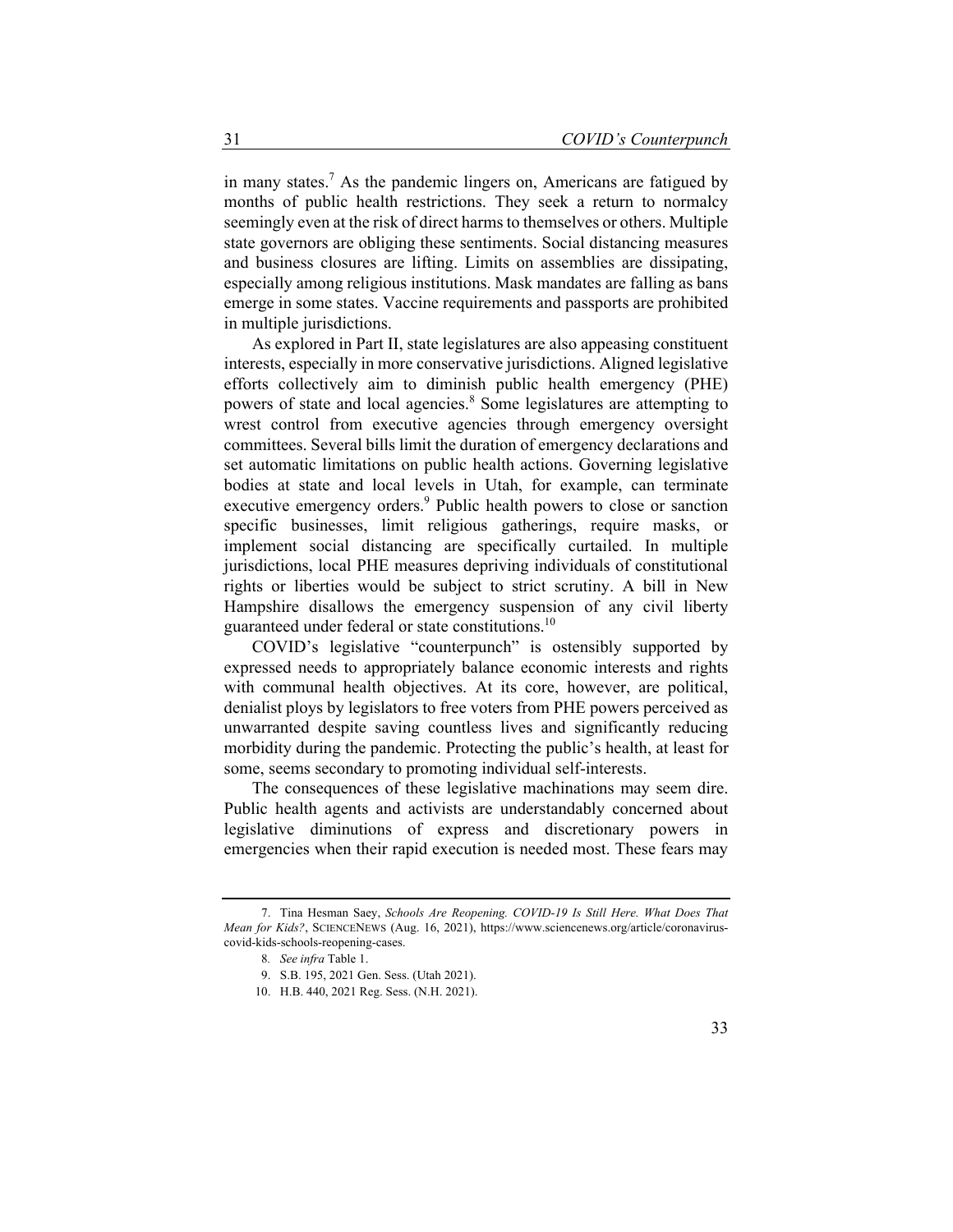in many states.<sup>7</sup> As the pandemic lingers on, Americans are fatigued by months of public health restrictions. They seek a return to normalcy seemingly even at the risk of direct harms to themselves or others. Multiple state governors are obliging these sentiments. Social distancing measures and business closures are lifting. Limits on assemblies are dissipating, especially among religious institutions. Mask mandates are falling as bans emerge in some states. Vaccine requirements and passports are prohibited in multiple jurisdictions.

As explored in Part II, state legislatures are also appeasing constituent interests, especially in more conservative jurisdictions. Aligned legislative efforts collectively aim to diminish public health emergency (PHE) powers of state and local agencies.<sup>8</sup> Some legislatures are attempting to wrest control from executive agencies through emergency oversight committees. Several bills limit the duration of emergency declarations and set automatic limitations on public health actions. Governing legislative bodies at state and local levels in Utah, for example, can terminate executive emergency orders.<sup>9</sup> Public health powers to close or sanction specific businesses, limit religious gatherings, require masks, or implement social distancing are specifically curtailed. In multiple jurisdictions, local PHE measures depriving individuals of constitutional rights or liberties would be subject to strict scrutiny. A bill in New Hampshire disallows the emergency suspension of any civil liberty guaranteed under federal or state constitutions.<sup>10</sup>

COVID's legislative "counterpunch" is ostensibly supported by expressed needs to appropriately balance economic interests and rights with communal health objectives. At its core, however, are political, denialist ploys by legislators to free voters from PHE powers perceived as unwarranted despite saving countless lives and significantly reducing morbidity during the pandemic. Protecting the public's health, at least for some, seems secondary to promoting individual self-interests.

The consequences of these legislative machinations may seem dire. Public health agents and activists are understandably concerned about legislative diminutions of express and discretionary powers in emergencies when their rapid execution is needed most. These fears may

<sup>7.</sup> Tina Hesman Saey, *Schools Are Reopening. COVID-19 Is Still Here. What Does That Mean for Kids?*, SCIENCENEWS (Aug. 16, 2021), https://www.sciencenews.org/article/coronaviruscovid-kids-schools-reopening-cases.

<sup>8</sup>*. See infra* Table 1.

<sup>9.</sup> S.B. 195, 2021 Gen. Sess. (Utah 2021).

<sup>10.</sup> H.B. 440, 2021 Reg. Sess. (N.H. 2021).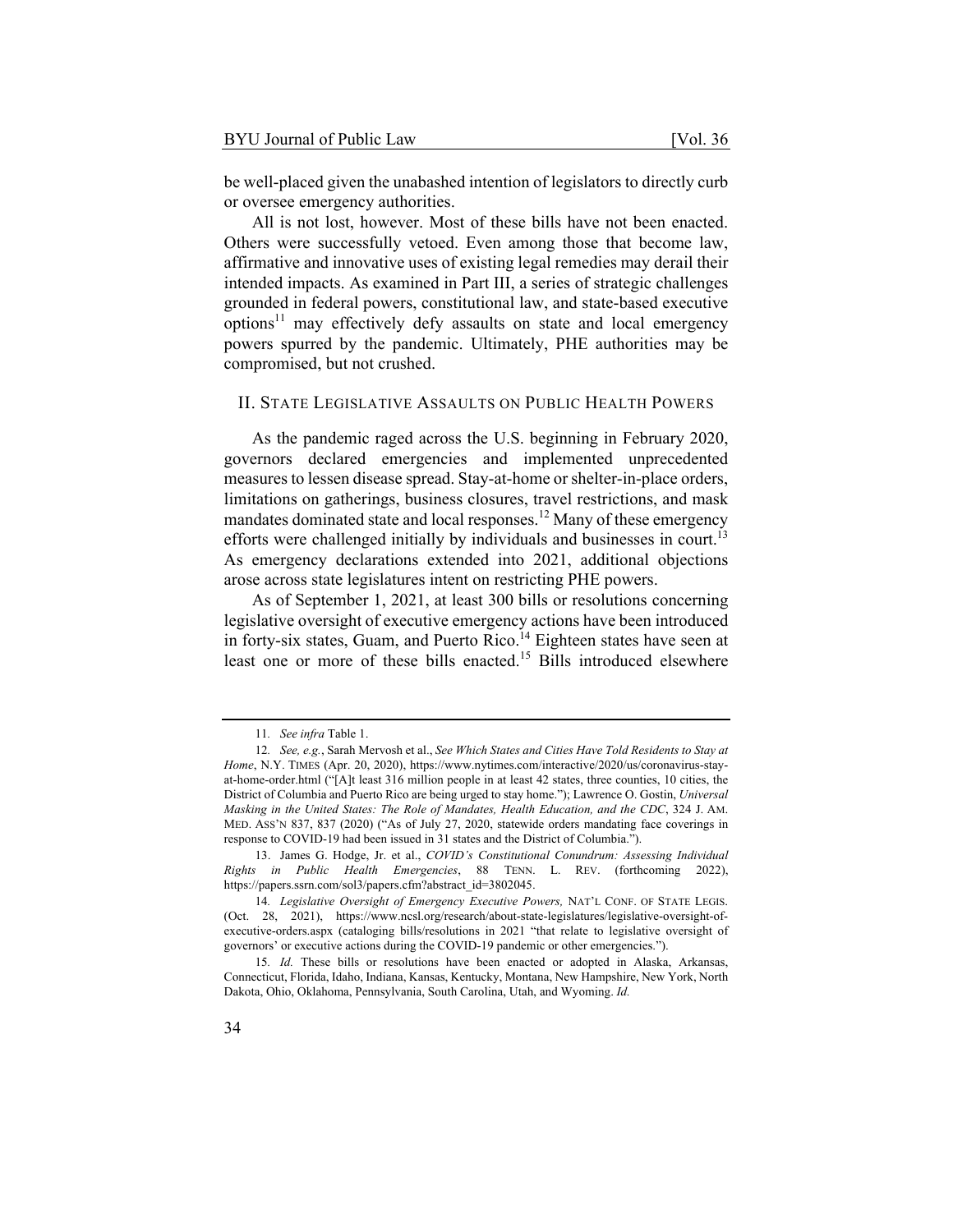be well-placed given the unabashed intention of legislators to directly curb or oversee emergency authorities.

All is not lost, however. Most of these bills have not been enacted. Others were successfully vetoed. Even among those that become law, affirmative and innovative uses of existing legal remedies may derail their intended impacts. As examined in Part III, a series of strategic challenges grounded in federal powers, constitutional law, and state-based executive options<sup>11</sup> may effectively defy assaults on state and local emergency powers spurred by the pandemic. Ultimately, PHE authorities may be compromised, but not crushed.

#### II. STATE LEGISLATIVE ASSAULTS ON PUBLIC HEALTH POWERS

As the pandemic raged across the U.S. beginning in February 2020, governors declared emergencies and implemented unprecedented measures to lessen disease spread. Stay-at-home or shelter-in-place orders, limitations on gatherings, business closures, travel restrictions, and mask mandates dominated state and local responses.<sup>12</sup> Many of these emergency efforts were challenged initially by individuals and businesses in court.<sup>13</sup> As emergency declarations extended into 2021, additional objections arose across state legislatures intent on restricting PHE powers.

As of September 1, 2021, at least 300 bills or resolutions concerning legislative oversight of executive emergency actions have been introduced in forty-six states, Guam, and Puerto Rico.<sup>14</sup> Eighteen states have seen at least one or more of these bills enacted.<sup>15</sup> Bills introduced elsewhere

<sup>11</sup>*. See infra* Table 1.

<sup>12</sup>*. See, e.g.*, Sarah Mervosh et al., *See Which States and Cities Have Told Residents to Stay at Home*, N.Y. TIMES (Apr. 20, 2020), https://www.nytimes.com/interactive/2020/us/coronavirus-stayat-home-order.html ("[A]t least 316 million people in at least 42 states, three counties, 10 cities, the District of Columbia and Puerto Rico are being urged to stay home."); Lawrence O. Gostin, *Universal Masking in the United States: The Role of Mandates, Health Education, and the CDC*, 324 J. AM. MED. ASS'N 837, 837 (2020) ("As of July 27, 2020, statewide orders mandating face coverings in response to COVID-19 had been issued in 31 states and the District of Columbia.").

<sup>13.</sup> James G. Hodge, Jr. et al., *COVID's Constitutional Conundrum: Assessing Individual Rights in Public Health Emergencies*, 88 TENN. L. REV. (forthcoming 2022), https://papers.ssrn.com/sol3/papers.cfm?abstract\_id=3802045.

<sup>14</sup>*. Legislative Oversight of Emergency Executive Powers,* NAT'L CONF. OF STATE LEGIS. (Oct. 28, 2021), https://www.ncsl.org/research/about-state-legislatures/legislative-oversight-ofexecutive-orders.aspx (cataloging bills/resolutions in 2021 "that relate to legislative oversight of governors' or executive actions during the COVID-19 pandemic or other emergencies.").

<sup>15</sup>*. Id.* These bills or resolutions have been enacted or adopted in Alaska, Arkansas, Connecticut, Florida, Idaho, Indiana, Kansas, Kentucky, Montana, New Hampshire, New York, North Dakota, Ohio, Oklahoma, Pennsylvania, South Carolina, Utah, and Wyoming. *Id.*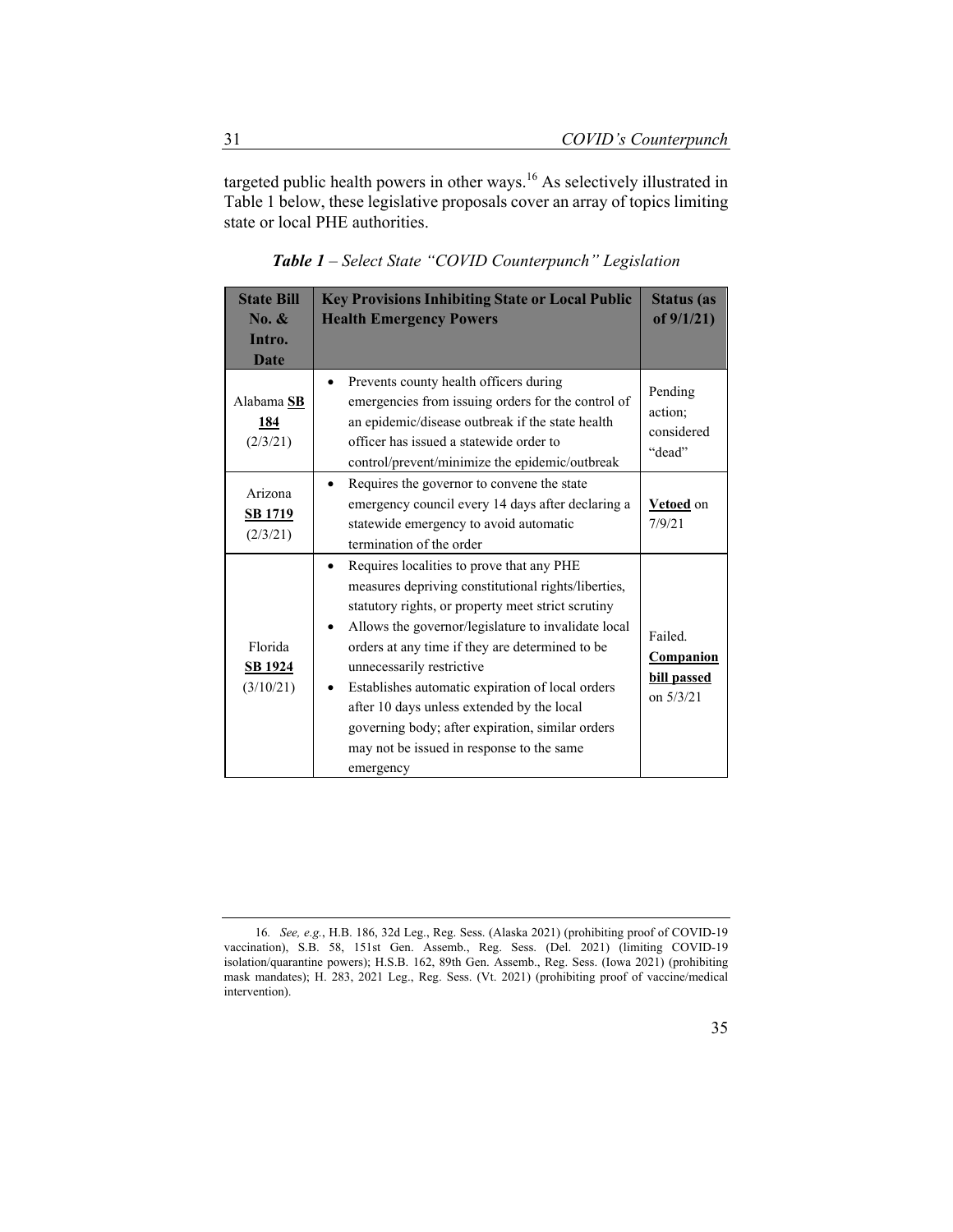targeted public health powers in other ways.16 As selectively illustrated in Table 1 below, these legislative proposals cover an array of topics limiting state or local PHE authorities.

| <b>State Bill</b>                               | <b>Key Provisions Inhibiting State or Local Public</b>                                                                                                                                                                                                                                                                                                                                                                                                                                                        | <b>Status</b> (as                                  |
|-------------------------------------------------|---------------------------------------------------------------------------------------------------------------------------------------------------------------------------------------------------------------------------------------------------------------------------------------------------------------------------------------------------------------------------------------------------------------------------------------------------------------------------------------------------------------|----------------------------------------------------|
| $\mathbf{No.} \&$                               | <b>Health Emergency Powers</b>                                                                                                                                                                                                                                                                                                                                                                                                                                                                                | of $9/1/21$ )                                      |
| Intro.                                          |                                                                                                                                                                                                                                                                                                                                                                                                                                                                                                               |                                                    |
| Date                                            |                                                                                                                                                                                                                                                                                                                                                                                                                                                                                                               |                                                    |
| Alabama <sub>SB</sub><br><u>184</u><br>(2/3/21) | Prevents county health officers during<br>٠<br>emergencies from issuing orders for the control of<br>an epidemic/disease outbreak if the state health<br>officer has issued a statewide order to<br>control/prevent/minimize the epidemic/outbreak                                                                                                                                                                                                                                                            | Pending<br>action;<br>considered<br>"dead"         |
| Arizona<br><b>SB</b> 1719<br>(2/3/21)           | Requires the governor to convene the state<br>emergency council every 14 days after declaring a<br>statewide emergency to avoid automatic<br>termination of the order                                                                                                                                                                                                                                                                                                                                         | Vetoed on<br>7/9/21                                |
| Florida<br><b>SB 1924</b><br>(3/10/21)          | Requires localities to prove that any PHE<br>measures depriving constitutional rights/liberties,<br>statutory rights, or property meet strict scrutiny<br>Allows the governor/legislature to invalidate local<br>orders at any time if they are determined to be<br>unnecessarily restrictive<br>Establishes automatic expiration of local orders<br>after 10 days unless extended by the local<br>governing body; after expiration, similar orders<br>may not be issued in response to the same<br>emergency | Failed.<br>Companion<br>bill passed<br>on $5/3/21$ |

*Table 1 – Select State "COVID Counterpunch" Legislation* 

<sup>16</sup>*. See, e.g.*, H.B. 186, 32d Leg., Reg. Sess. (Alaska 2021) (prohibiting proof of COVID-19 vaccination), S.B. 58, 151st Gen. Assemb., Reg. Sess. (Del. 2021) (limiting COVID-19 isolation/quarantine powers); H.S.B. 162, 89th Gen. Assemb., Reg. Sess. (Iowa 2021) (prohibiting mask mandates); H. 283, 2021 Leg., Reg. Sess. (Vt. 2021) (prohibiting proof of vaccine/medical intervention).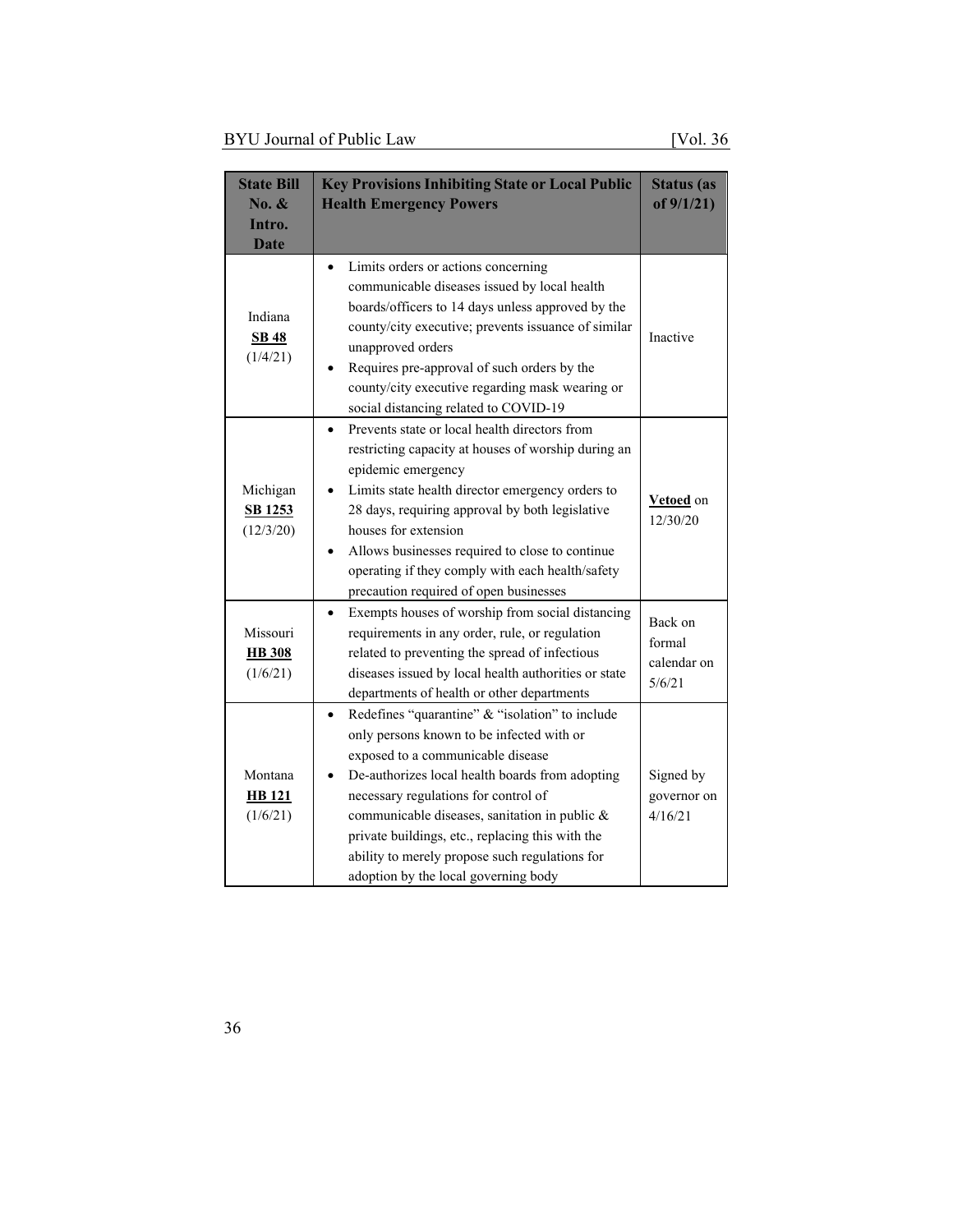| <b>State Bill</b><br>No. &<br>Intro.<br><b>Date</b> | <b>Key Provisions Inhibiting State or Local Public</b><br><b>Health Emergency Powers</b>                                                                                                                                                                                                                                                                                                                                    | <b>Status</b> (as<br>of $9/1/21$           |
|-----------------------------------------------------|-----------------------------------------------------------------------------------------------------------------------------------------------------------------------------------------------------------------------------------------------------------------------------------------------------------------------------------------------------------------------------------------------------------------------------|--------------------------------------------|
| Indiana<br><b>SB 48</b><br>(1/4/21)                 | Limits orders or actions concerning<br>communicable diseases issued by local health<br>boards/officers to 14 days unless approved by the<br>county/city executive; prevents issuance of similar<br>unapproved orders<br>Requires pre-approval of such orders by the<br>county/city executive regarding mask wearing or<br>social distancing related to COVID-19                                                             | Inactive                                   |
| Michigan<br>SB 1253<br>(12/3/20)                    | Prevents state or local health directors from<br>$\bullet$<br>restricting capacity at houses of worship during an<br>epidemic emergency<br>Limits state health director emergency orders to<br>28 days, requiring approval by both legislative<br>houses for extension<br>Allows businesses required to close to continue<br>operating if they comply with each health/safety<br>precaution required of open businesses     | Vetoed on<br>12/30/20                      |
| Missouri<br><b>HB</b> 308<br>(1/6/21)               | Exempts houses of worship from social distancing<br>$\bullet$<br>requirements in any order, rule, or regulation<br>related to preventing the spread of infectious<br>diseases issued by local health authorities or state<br>departments of health or other departments                                                                                                                                                     | Back on<br>formal<br>calendar on<br>5/6/21 |
| Montana<br><b>HB</b> 121<br>(1/6/21)                | Redefines "quarantine" & "isolation" to include<br>only persons known to be infected with or<br>exposed to a communicable disease<br>De-authorizes local health boards from adopting<br>necessary regulations for control of<br>communicable diseases, sanitation in public &<br>private buildings, etc., replacing this with the<br>ability to merely propose such regulations for<br>adoption by the local governing body | Signed by<br>governor on<br>4/16/21        |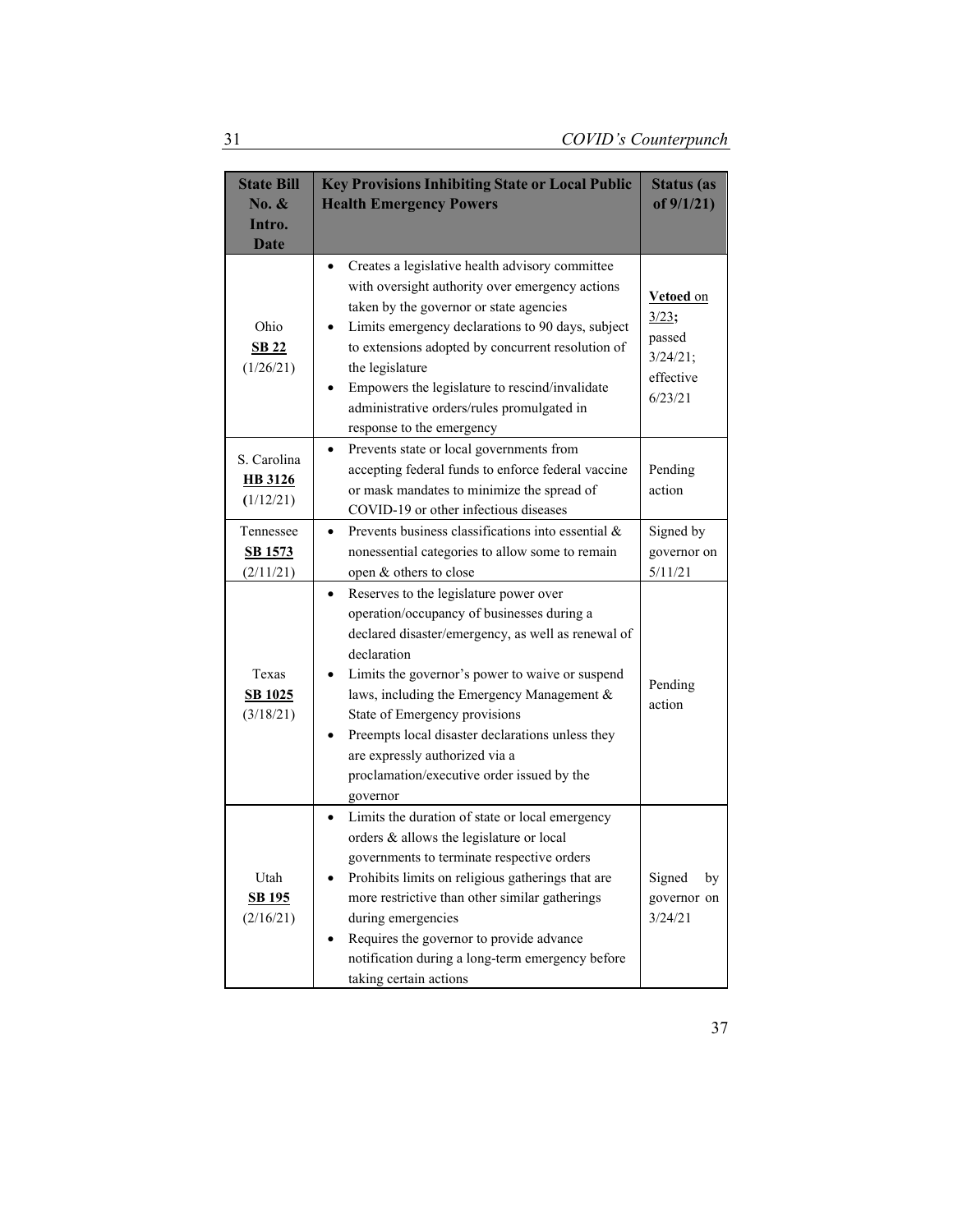| <b>State Bill</b><br>No. &<br>Intro.<br><b>Date</b> | <b>Key Provisions Inhibiting State or Local Public</b><br><b>Health Emergency Powers</b>                                                                                                                                                                                                                                                                                                                                                                 | <b>Status</b> (as<br>of $9/1/21$ )                               |
|-----------------------------------------------------|----------------------------------------------------------------------------------------------------------------------------------------------------------------------------------------------------------------------------------------------------------------------------------------------------------------------------------------------------------------------------------------------------------------------------------------------------------|------------------------------------------------------------------|
| Ohio<br><b>SB 22</b><br>(1/26/21)                   | Creates a legislative health advisory committee<br>٠<br>with oversight authority over emergency actions<br>taken by the governor or state agencies<br>Limits emergency declarations to 90 days, subject<br>to extensions adopted by concurrent resolution of<br>the legislature<br>Empowers the legislature to rescind/invalidate<br>administrative orders/rules promulgated in<br>response to the emergency                                             | Vetoed on<br>3/23;<br>passed<br>3/24/21;<br>effective<br>6/23/21 |
| S. Carolina<br><b>HB</b> 3126<br>(1/12/21)          | Prevents state or local governments from<br>accepting federal funds to enforce federal vaccine<br>or mask mandates to minimize the spread of<br>COVID-19 or other infectious diseases                                                                                                                                                                                                                                                                    | Pending<br>action                                                |
| Tennessee<br><b>SB 1573</b><br>(2/11/21)            | Prevents business classifications into essential &<br>$\bullet$<br>nonessential categories to allow some to remain<br>open & others to close                                                                                                                                                                                                                                                                                                             | Signed by<br>governor on<br>5/11/21                              |
| Texas<br><b>SB 1025</b><br>(3/18/21)                | Reserves to the legislature power over<br>$\bullet$<br>operation/occupancy of businesses during a<br>declared disaster/emergency, as well as renewal of<br>declaration<br>Limits the governor's power to waive or suspend<br>laws, including the Emergency Management &<br>State of Emergency provisions<br>Preempts local disaster declarations unless they<br>are expressly authorized via a<br>proclamation/executive order issued by the<br>governor | Pending<br>action                                                |
| Utah<br><b>SB 195</b><br>(2/16/21)                  | Limits the duration of state or local emergency<br>orders & allows the legislature or local<br>governments to terminate respective orders<br>Prohibits limits on religious gatherings that are<br>more restrictive than other similar gatherings<br>during emergencies<br>Requires the governor to provide advance<br>notification during a long-term emergency before<br>taking certain actions                                                         | Signed<br>by<br>governor on<br>3/24/21                           |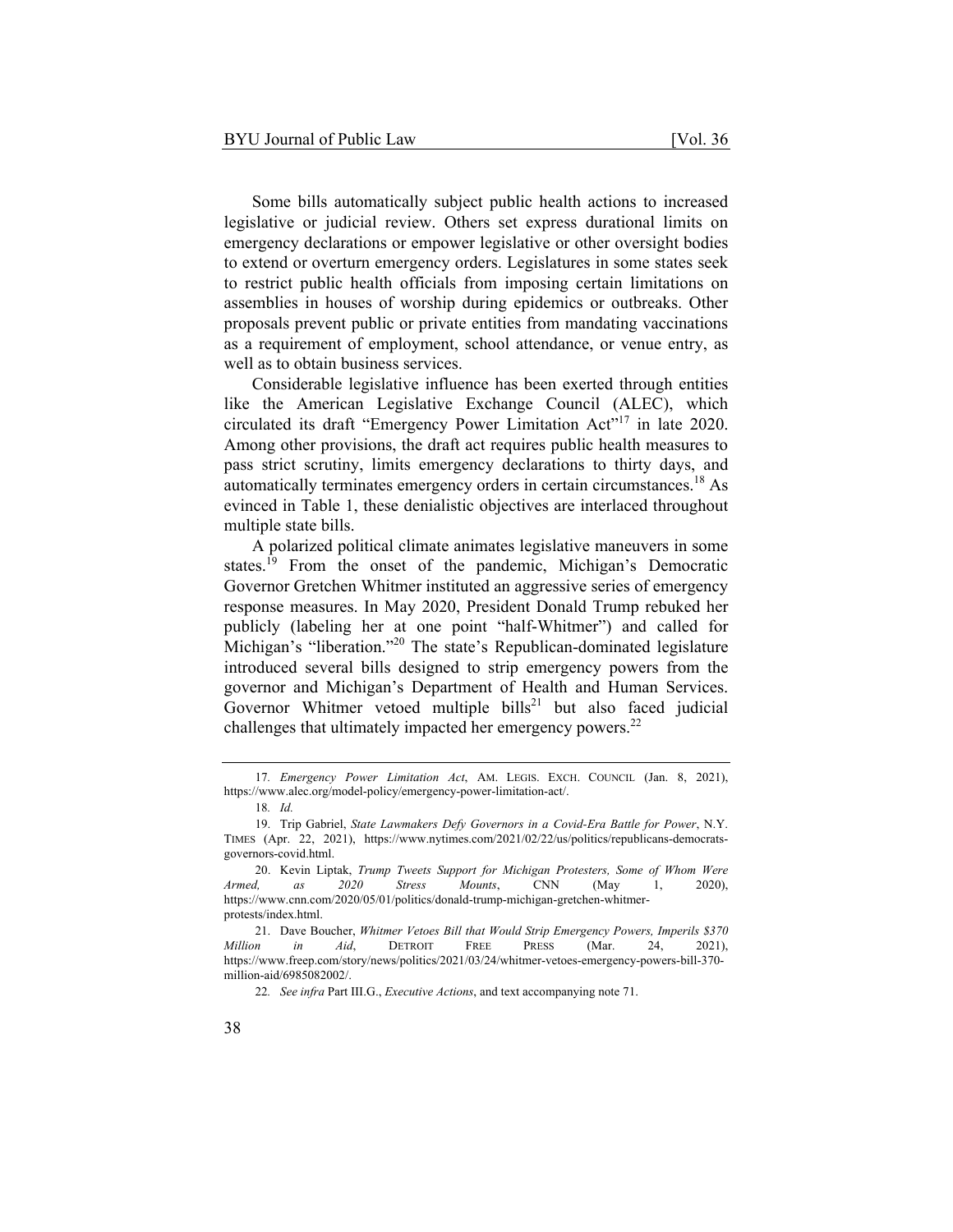Some bills automatically subject public health actions to increased legislative or judicial review. Others set express durational limits on emergency declarations or empower legislative or other oversight bodies to extend or overturn emergency orders. Legislatures in some states seek to restrict public health officials from imposing certain limitations on assemblies in houses of worship during epidemics or outbreaks. Other proposals prevent public or private entities from mandating vaccinations as a requirement of employment, school attendance, or venue entry, as well as to obtain business services.

Considerable legislative influence has been exerted through entities like the American Legislative Exchange Council (ALEC), which circulated its draft "Emergency Power Limitation Act"<sup>17</sup> in late 2020. Among other provisions, the draft act requires public health measures to pass strict scrutiny, limits emergency declarations to thirty days, and automatically terminates emergency orders in certain circumstances.<sup>18</sup> As evinced in Table 1, these denialistic objectives are interlaced throughout multiple state bills.

A polarized political climate animates legislative maneuvers in some states.<sup>19</sup> From the onset of the pandemic, Michigan's Democratic Governor Gretchen Whitmer instituted an aggressive series of emergency response measures. In May 2020, President Donald Trump rebuked her publicly (labeling her at one point "half-Whitmer") and called for Michigan's "liberation."<sup>20</sup> The state's Republican-dominated legislature introduced several bills designed to strip emergency powers from the governor and Michigan's Department of Health and Human Services. Governor Whitmer vetoed multiple bills<sup>21</sup> but also faced judicial challenges that ultimately impacted her emergency powers.<sup>22</sup>

<sup>17</sup>*. Emergency Power Limitation Act*, AM. LEGIS. EXCH. COUNCIL (Jan. 8, 2021), https://www.alec.org/model-policy/emergency-power-limitation-act/.

<sup>18</sup>*. Id.*

<sup>19.</sup> Trip Gabriel, *State Lawmakers Defy Governors in a Covid-Era Battle for Power*, N.Y. TIMES (Apr. 22, 2021), https://www.nytimes.com/2021/02/22/us/politics/republicans-democratsgovernors-covid.html.

<sup>20.</sup> Kevin Liptak, *Trump Tweets Support for Michigan Protesters, Some of Whom Were Armed, as 2020 Stress Mounts*, CNN (May 1, 2020), https://www.cnn.com/2020/05/01/politics/donald-trump-michigan-gretchen-whitmerprotests/index.html.

<sup>21.</sup> Dave Boucher, *Whitmer Vetoes Bill that Would Strip Emergency Powers, Imperils \$370 Million in Aid*, DETROIT FREE PRESS (Mar. 24, 2021), https://www.freep.com/story/news/politics/2021/03/24/whitmer-vetoes-emergency-powers-bill-370 million-aid/6985082002/.

<sup>22</sup>*. See infra* Part III.G., *Executive Actions*, and text accompanying note 71.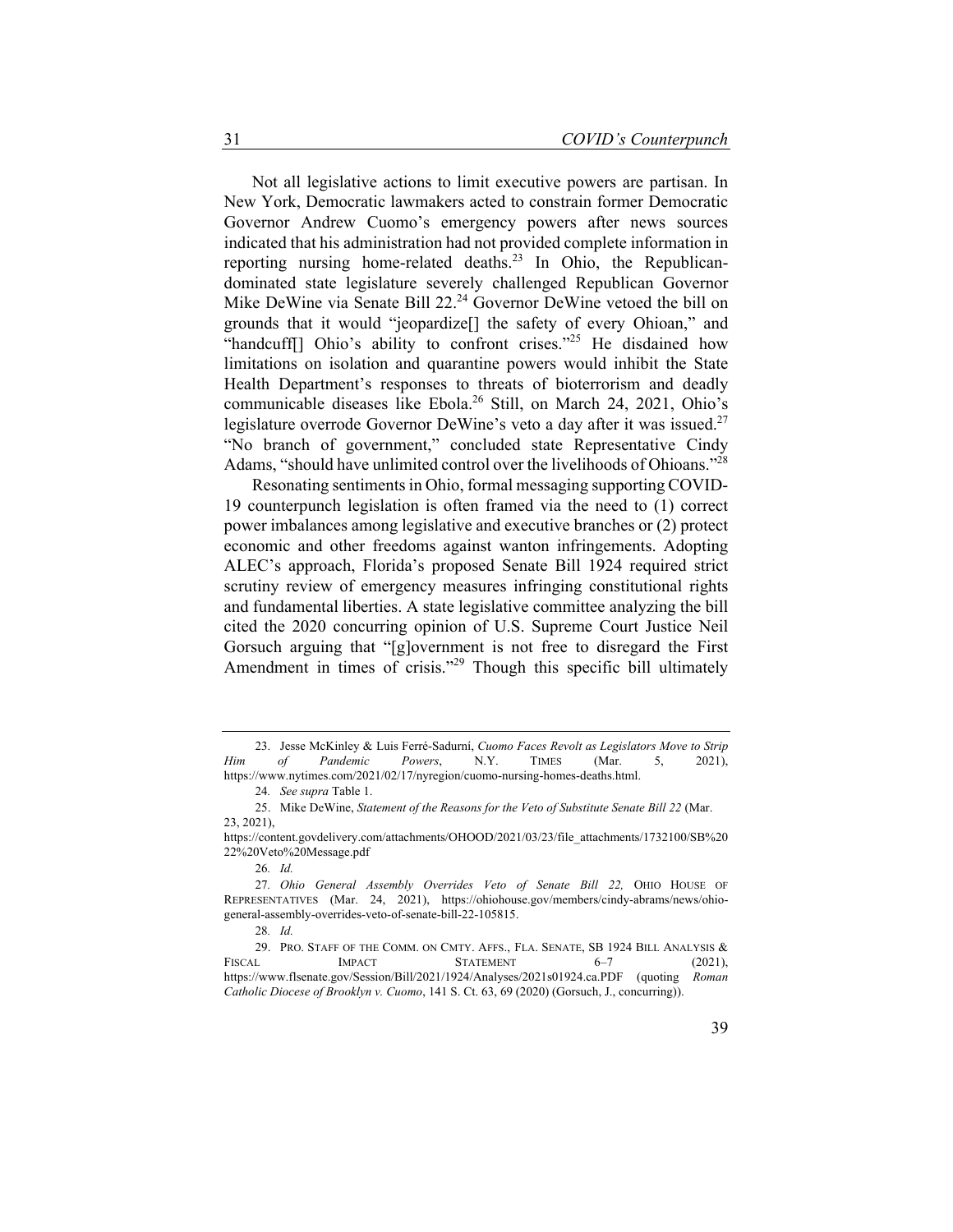Not all legislative actions to limit executive powers are partisan. In New York, Democratic lawmakers acted to constrain former Democratic Governor Andrew Cuomo's emergency powers after news sources indicated that his administration had not provided complete information in reporting nursing home-related deaths.<sup>23</sup> In Ohio, the Republicandominated state legislature severely challenged Republican Governor Mike DeWine via Senate Bill 22.<sup>24</sup> Governor DeWine vetoed the bill on grounds that it would "jeopardize[] the safety of every Ohioan," and "handcuff[] Ohio's ability to confront crises."<sup>25</sup> He disdained how limitations on isolation and quarantine powers would inhibit the State Health Department's responses to threats of bioterrorism and deadly communicable diseases like Ebola.<sup>26</sup> Still, on March 24, 2021, Ohio's legislature overrode Governor DeWine's veto a day after it was issued.<sup>27</sup> "No branch of government," concluded state Representative Cindy Adams, "should have unlimited control over the livelihoods of Ohioans."<sup>28</sup>

Resonating sentiments in Ohio, formal messaging supporting COVID-19 counterpunch legislation is often framed via the need to (1) correct power imbalances among legislative and executive branches or (2) protect economic and other freedoms against wanton infringements. Adopting ALEC's approach, Florida's proposed Senate Bill 1924 required strict scrutiny review of emergency measures infringing constitutional rights and fundamental liberties. A state legislative committee analyzing the bill cited the 2020 concurring opinion of U.S. Supreme Court Justice Neil Gorsuch arguing that "[g]overnment is not free to disregard the First Amendment in times of crisis."<sup>29</sup> Though this specific bill ultimately

<sup>23.</sup> Jesse McKinley & Luis Ferré-Sadurní, *Cuomo Faces Revolt as Legislators Move to Strip Him of Pandemic Powers*, N.Y. TIMES (Mar. 5, 2021), https://www.nytimes.com/2021/02/17/nyregion/cuomo-nursing-homes-deaths.html.

<sup>24</sup>*. See supra* Table 1.

<sup>25.</sup> Mike DeWine, *Statement of the Reasons for the Veto of Substitute Senate Bill 22* (Mar. 23, 2021),

https://content.govdelivery.com/attachments/OHOOD/2021/03/23/file\_attachments/1732100/SB%20 22%20Veto%20Message.pdf

<sup>26</sup>*. Id.*

<sup>27</sup>*. Ohio General Assembly Overrides Veto of Senate Bill 22,* OHIO HOUSE OF REPRESENTATIVES (Mar. 24, 2021), https://ohiohouse.gov/members/cindy-abrams/news/ohiogeneral-assembly-overrides-veto-of-senate-bill-22-105815.

<sup>28</sup>*. Id.*

<sup>29.</sup> PRO. STAFF OF THE COMM. ON CMTY. AFFS., FLA. SENATE, SB 1924 BILL ANALYSIS & FISCAL IMPACT STATEMENT 6-7 (2021). https://www.flsenate.gov/Session/Bill/2021/1924/Analyses/2021s01924.ca.PDF (quoting *Roman Catholic Diocese of Brooklyn v. Cuomo*, 141 S. Ct. 63, 69 (2020) (Gorsuch, J., concurring)).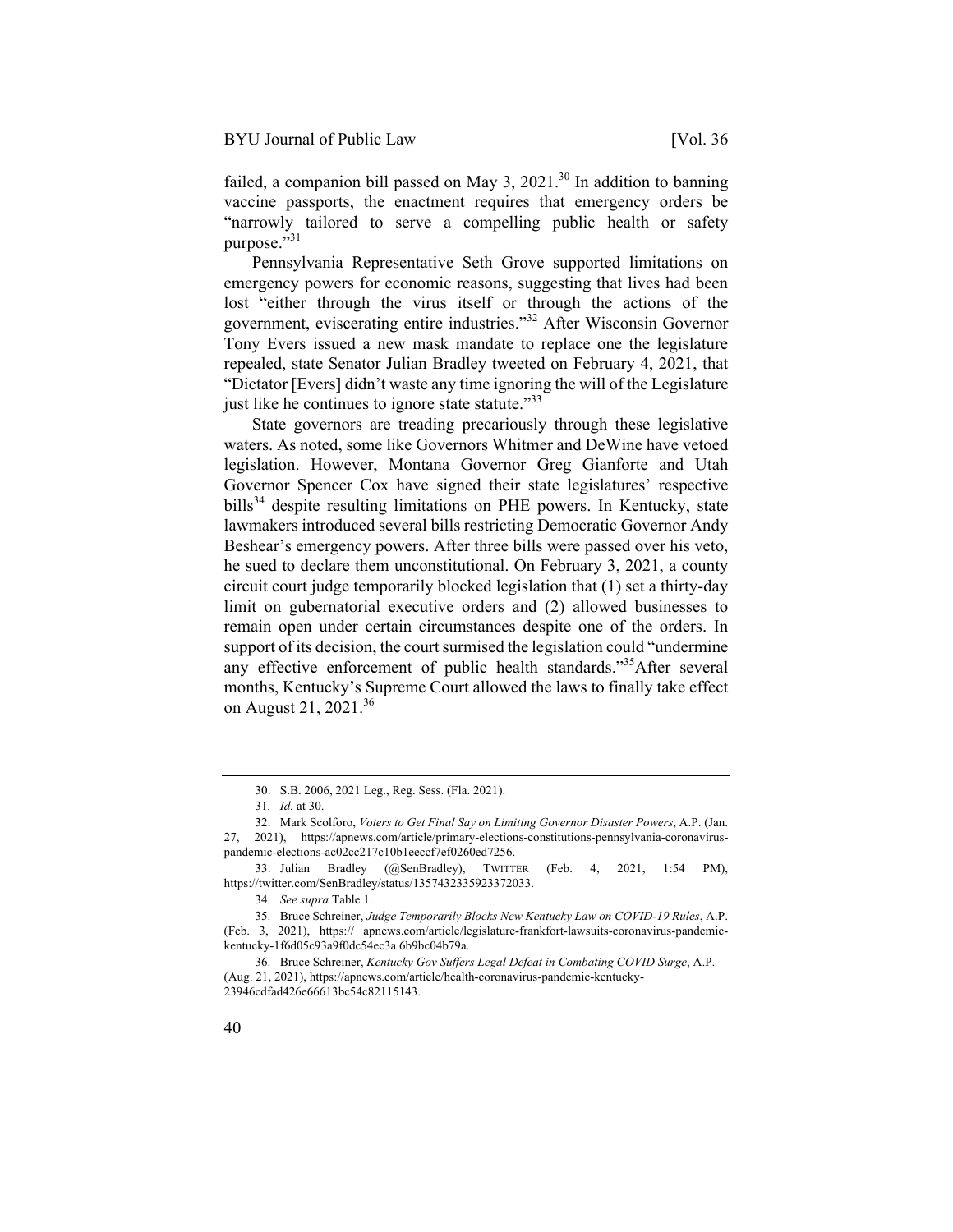failed, a companion bill passed on May 3, 2021.<sup>30</sup> In addition to banning vaccine passports, the enactment requires that emergency orders be "narrowly tailored to serve a compelling public health or safety purpose."<sup>31</sup>

Pennsylvania Representative Seth Grove supported limitations on emergency powers for economic reasons, suggesting that lives had been lost "either through the virus itself or through the actions of the government, eviscerating entire industries."32 After Wisconsin Governor Tony Evers issued a new mask mandate to replace one the legislature repealed, state Senator Julian Bradley tweeted on February 4, 2021, that "Dictator [Evers] didn't waste any time ignoring the will of the Legislature just like he continues to ignore state statute."<sup>33</sup>

State governors are treading precariously through these legislative waters. As noted, some like Governors Whitmer and DeWine have vetoed legislation. However, Montana Governor Greg Gianforte and Utah Governor Spencer Cox have signed their state legislatures' respective bills<sup>34</sup> despite resulting limitations on PHE powers. In Kentucky, state lawmakers introduced several bills restricting Democratic Governor Andy Beshear's emergency powers. After three bills were passed over his veto, he sued to declare them unconstitutional. On February 3, 2021, a county circuit court judge temporarily blocked legislation that (1) set a thirty-day limit on gubernatorial executive orders and (2) allowed businesses to remain open under certain circumstances despite one of the orders. In support of its decision, the court surmised the legislation could "undermine any effective enforcement of public health standards."35 After several months, Kentucky's Supreme Court allowed the laws to finally take effect on August 21, 2021.<sup>36</sup>

<sup>30.</sup> S.B. 2006, 2021 Leg., Reg. Sess. (Fla. 2021).

<sup>31</sup>*. Id.* at 30.

<sup>32.</sup> Mark Scolforo, *Voters to Get Final Say on Limiting Governor Disaster Powers*, A.P. (Jan. 27, 2021), https://apnews.com/article/primary-elections-constitutions-pennsylvania-coronaviruspandemic-elections-ac02cc217c10b1eeccf7ef0260ed7256.

<sup>33.</sup> Julian Bradley (@SenBradley), TWITTER (Feb. 4, 2021, 1:54 PM), https://twitter.com/SenBradley/status/1357432335923372033.

<sup>34</sup>*. See supra* Table 1.

<sup>35.</sup> Bruce Schreiner, *Judge Temporarily Blocks New Kentucky Law on COVID-19 Rules*, A.P. (Feb. 3, 2021), https:// apnews.com/article/legislature-frankfort-lawsuits-coronavirus-pandemickentucky-1f6d05c93a9f0dc54ec3a 6b9bc04b79a.

<sup>36.</sup> Bruce Schreiner, *Kentucky Gov Suffers Legal Defeat in Combating COVID Surge*, A.P. (Aug. 21, 2021), https://apnews.com/article/health-coronavirus-pandemic-kentucky-23946cdfad426e66613bc54c82115143.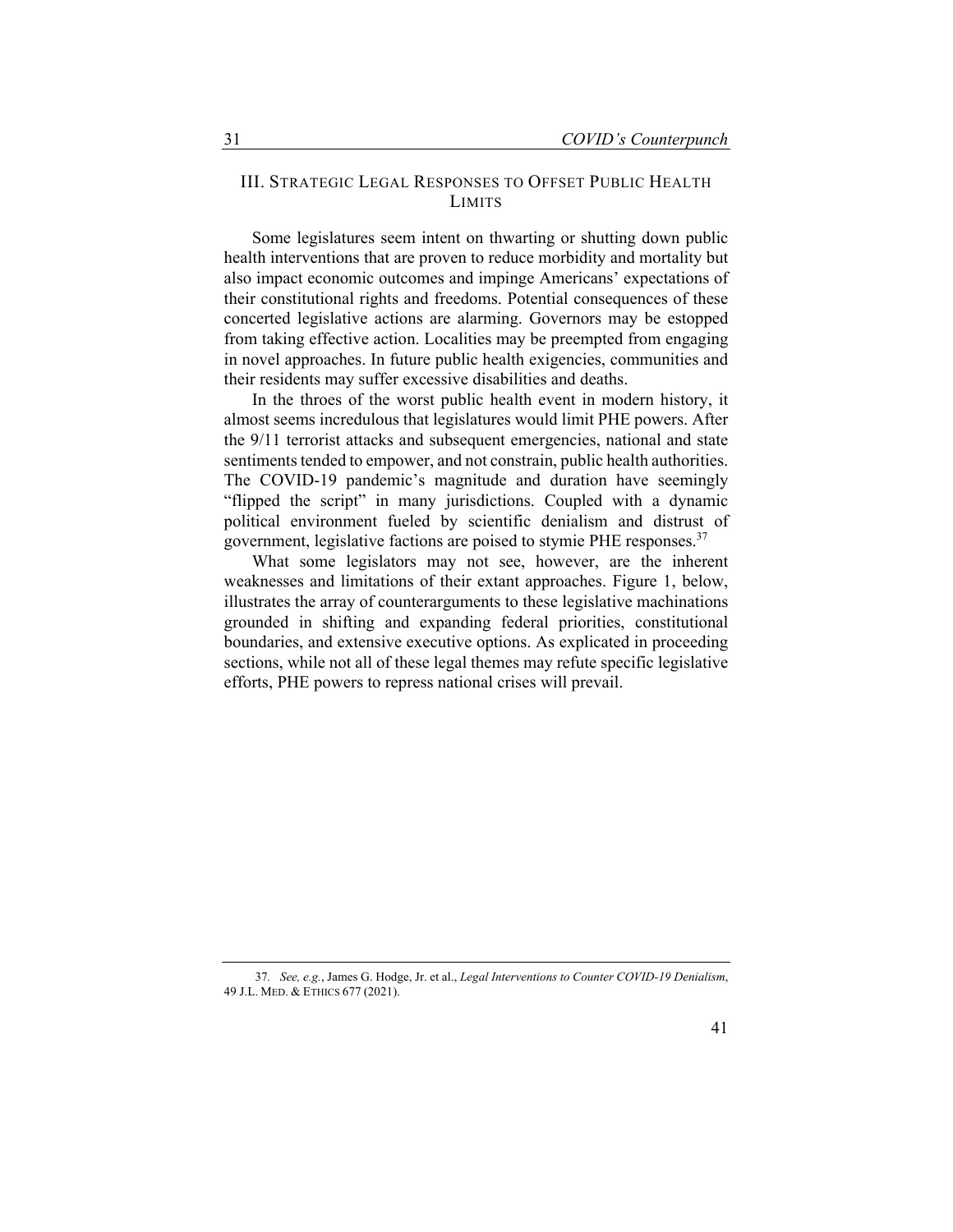#### III. STRATEGIC LEGAL RESPONSES TO OFFSET PUBLIC HEALTH LIMITS

Some legislatures seem intent on thwarting or shutting down public health interventions that are proven to reduce morbidity and mortality but also impact economic outcomes and impinge Americans' expectations of their constitutional rights and freedoms. Potential consequences of these concerted legislative actions are alarming. Governors may be estopped from taking effective action. Localities may be preempted from engaging in novel approaches. In future public health exigencies, communities and their residents may suffer excessive disabilities and deaths.

In the throes of the worst public health event in modern history, it almost seems incredulous that legislatures would limit PHE powers. After the 9/11 terrorist attacks and subsequent emergencies, national and state sentiments tended to empower, and not constrain, public health authorities. The COVID-19 pandemic's magnitude and duration have seemingly "flipped the script" in many jurisdictions. Coupled with a dynamic political environment fueled by scientific denialism and distrust of government, legislative factions are poised to stymie PHE responses.<sup>37</sup>

What some legislators may not see, however, are the inherent weaknesses and limitations of their extant approaches. Figure 1, below, illustrates the array of counterarguments to these legislative machinations grounded in shifting and expanding federal priorities, constitutional boundaries, and extensive executive options. As explicated in proceeding sections, while not all of these legal themes may refute specific legislative efforts, PHE powers to repress national crises will prevail.

<sup>37</sup>*. See, e.g.*, James G. Hodge, Jr. et al., *Legal Interventions to Counter COVID-19 Denialism*, 49 J.L. MED. & ETHICS 677 (2021).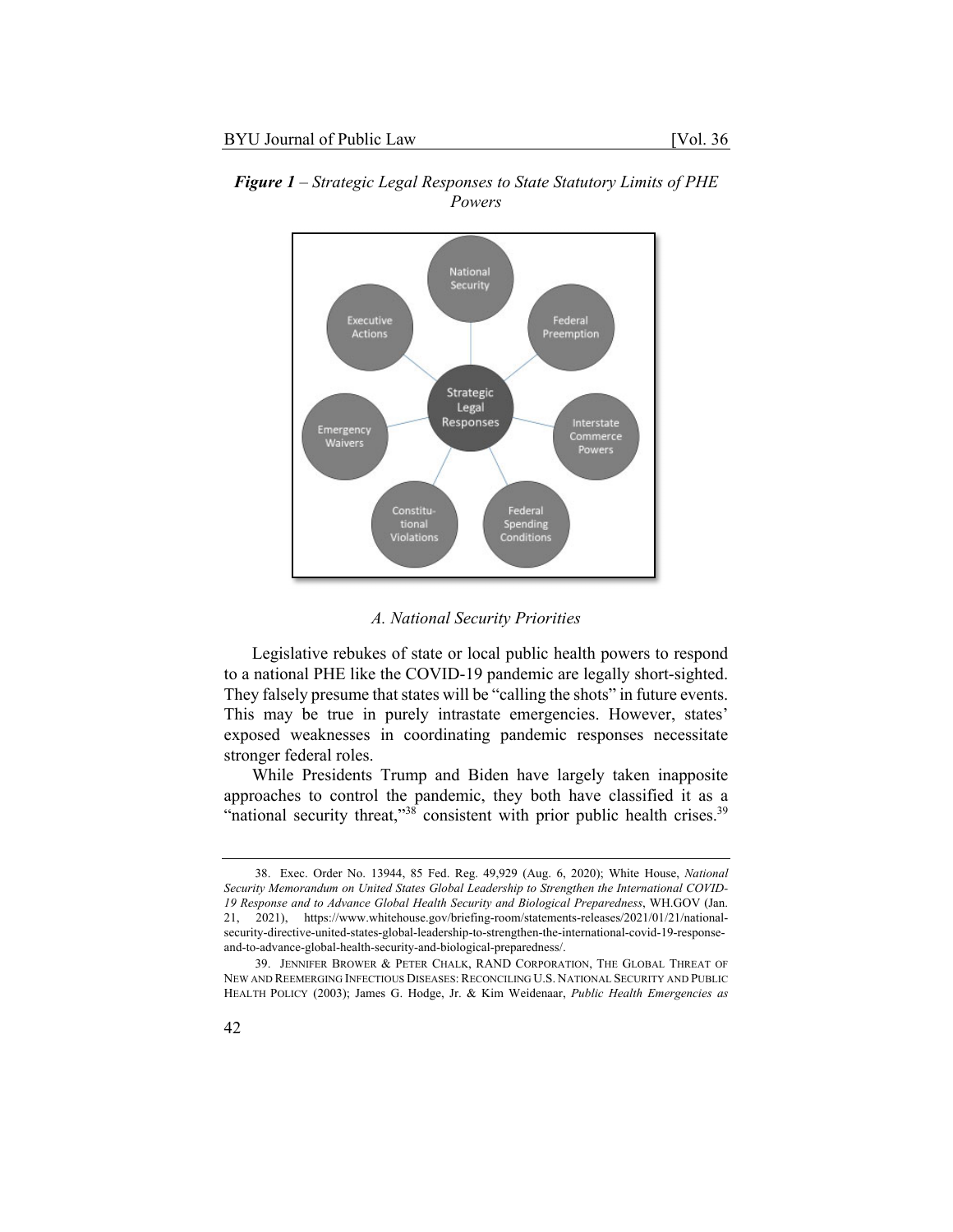

*Figure 1 – Strategic Legal Responses to State Statutory Limits of PHE Powers* 

#### *A. National Security Priorities*

Legislative rebukes of state or local public health powers to respond to a national PHE like the COVID-19 pandemic are legally short-sighted. They falsely presume that states will be "calling the shots" in future events. This may be true in purely intrastate emergencies. However, states' exposed weaknesses in coordinating pandemic responses necessitate stronger federal roles.

While Presidents Trump and Biden have largely taken inapposite approaches to control the pandemic, they both have classified it as a "national security threat,"<sup>38</sup> consistent with prior public health crises.<sup>39</sup>

<sup>38.</sup> Exec. Order No. 13944, 85 Fed. Reg. 49,929 (Aug. 6, 2020); White House, *National Security Memorandum on United States Global Leadership to Strengthen the International COVID-19 Response and to Advance Global Health Security and Biological Preparedness*, WH.GOV (Jan. 21, 2021), https://www.whitehouse.gov/briefing-room/statements-releases/2021/01/21/nationalsecurity-directive-united-states-global-leadership-to-strengthen-the-international-covid-19-responseand-to-advance-global-health-security-and-biological-preparedness/.

<sup>39.</sup> JENNIFER BROWER & PETER CHALK, RAND CORPORATION, THE GLOBAL THREAT OF NEW AND REEMERGING INFECTIOUS DISEASES: RECONCILING U.S. NATIONAL SECURITY AND PUBLIC HEALTH POLICY (2003); James G. Hodge, Jr. & Kim Weidenaar, *Public Health Emergencies as*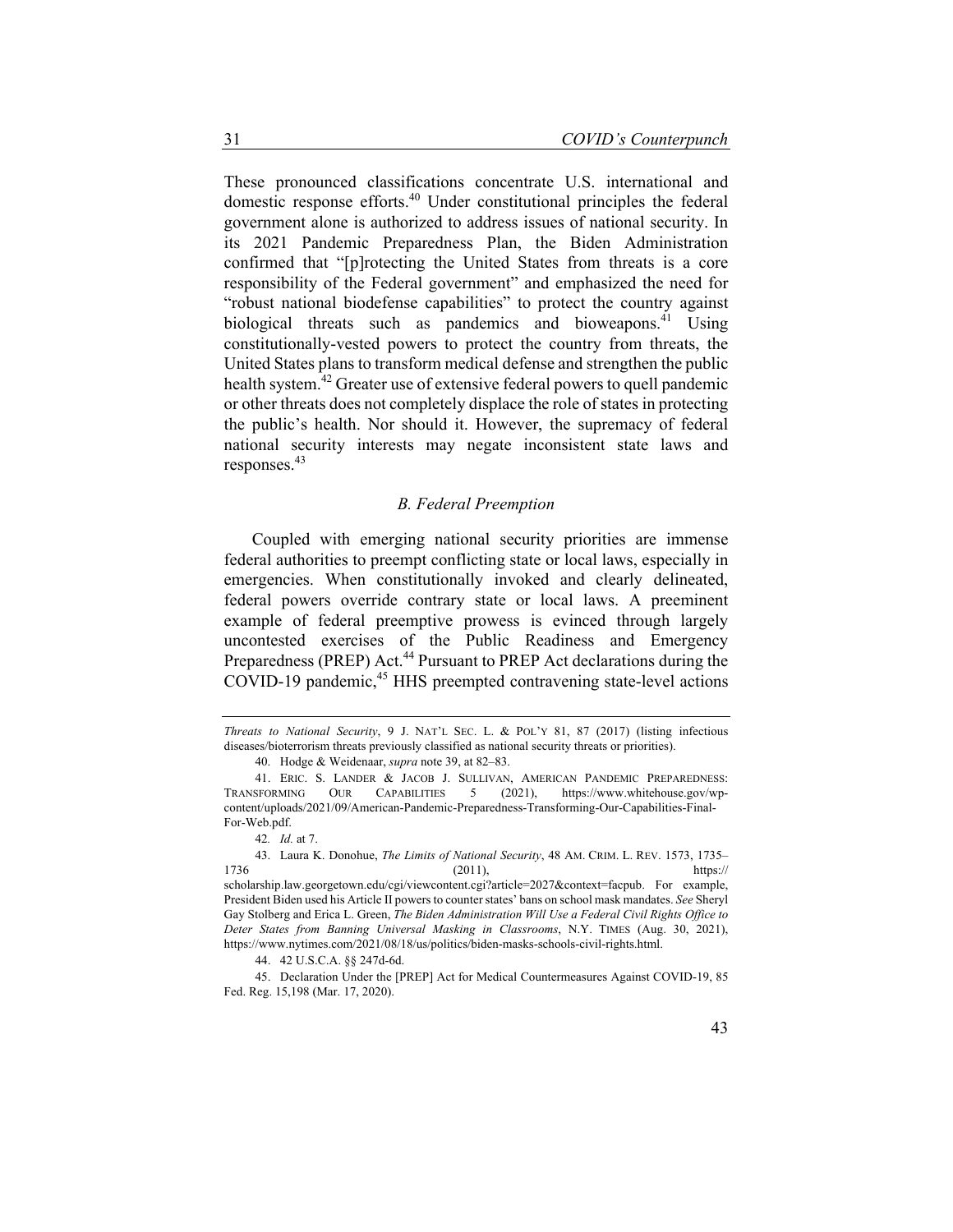These pronounced classifications concentrate U.S. international and domestic response efforts.40 Under constitutional principles the federal government alone is authorized to address issues of national security. In its 2021 Pandemic Preparedness Plan, the Biden Administration confirmed that "[p]rotecting the United States from threats is a core responsibility of the Federal government" and emphasized the need for "robust national biodefense capabilities" to protect the country against biological threats such as pandemics and bioweapons.<sup>41</sup> Using constitutionally-vested powers to protect the country from threats, the United States plans to transform medical defense and strengthen the public health system.<sup>42</sup> Greater use of extensive federal powers to quell pandemic or other threats does not completely displace the role of states in protecting the public's health. Nor should it. However, the supremacy of federal national security interests may negate inconsistent state laws and responses.43

#### *B. Federal Preemption*

Coupled with emerging national security priorities are immense federal authorities to preempt conflicting state or local laws, especially in emergencies. When constitutionally invoked and clearly delineated, federal powers override contrary state or local laws. A preeminent example of federal preemptive prowess is evinced through largely uncontested exercises of the Public Readiness and Emergency Preparedness (PREP) Act.<sup>44</sup> Pursuant to PREP Act declarations during the COVID-19 pandemic,<sup>45</sup> HHS preempted contravening state-level actions

44. 42 U.S.C.A. §§ 247d-6d.

45. Declaration Under the [PREP] Act for Medical Countermeasures Against COVID-19, 85 Fed. Reg. 15,198 (Mar. 17, 2020).

*Threats to National Security*, 9 J. NAT'L SEC. L. & POL'Y 81, 87 (2017) (listing infectious diseases/bioterrorism threats previously classified as national security threats or priorities).

<sup>40.</sup> Hodge & Weidenaar, *supra* note 39, at 82–83.

<sup>41.</sup> ERIC. S. LANDER & JACOB J. SULLIVAN, AMERICAN PANDEMIC PREPAREDNESS: TRANSFORMING OUR CAPABILITIES 5 (2021), https://www.whitehouse.gov/wpcontent/uploads/2021/09/American-Pandemic-Preparedness-Transforming-Our-Capabilities-Final-For-Web.pdf.

<sup>42</sup>*. Id.* at 7.

<sup>43.</sup> Laura K. Donohue, *The Limits of National Security*, 48 AM. CRIM. L. REV. 1573, 1735– 1736 (2011), https:// scholarship.law.georgetown.edu/cgi/viewcontent.cgi?article=2027&context=facpub. For example, President Biden used his Article II powers to counter states' bans on school mask mandates. *See* Sheryl Gay Stolberg and Erica L. Green, *The Biden Administration Will Use a Federal Civil Rights Office to Deter States from Banning Universal Masking in Classrooms*, N.Y. TIMES (Aug. 30, 2021), https://www.nytimes.com/2021/08/18/us/politics/biden-masks-schools-civil-rights.html.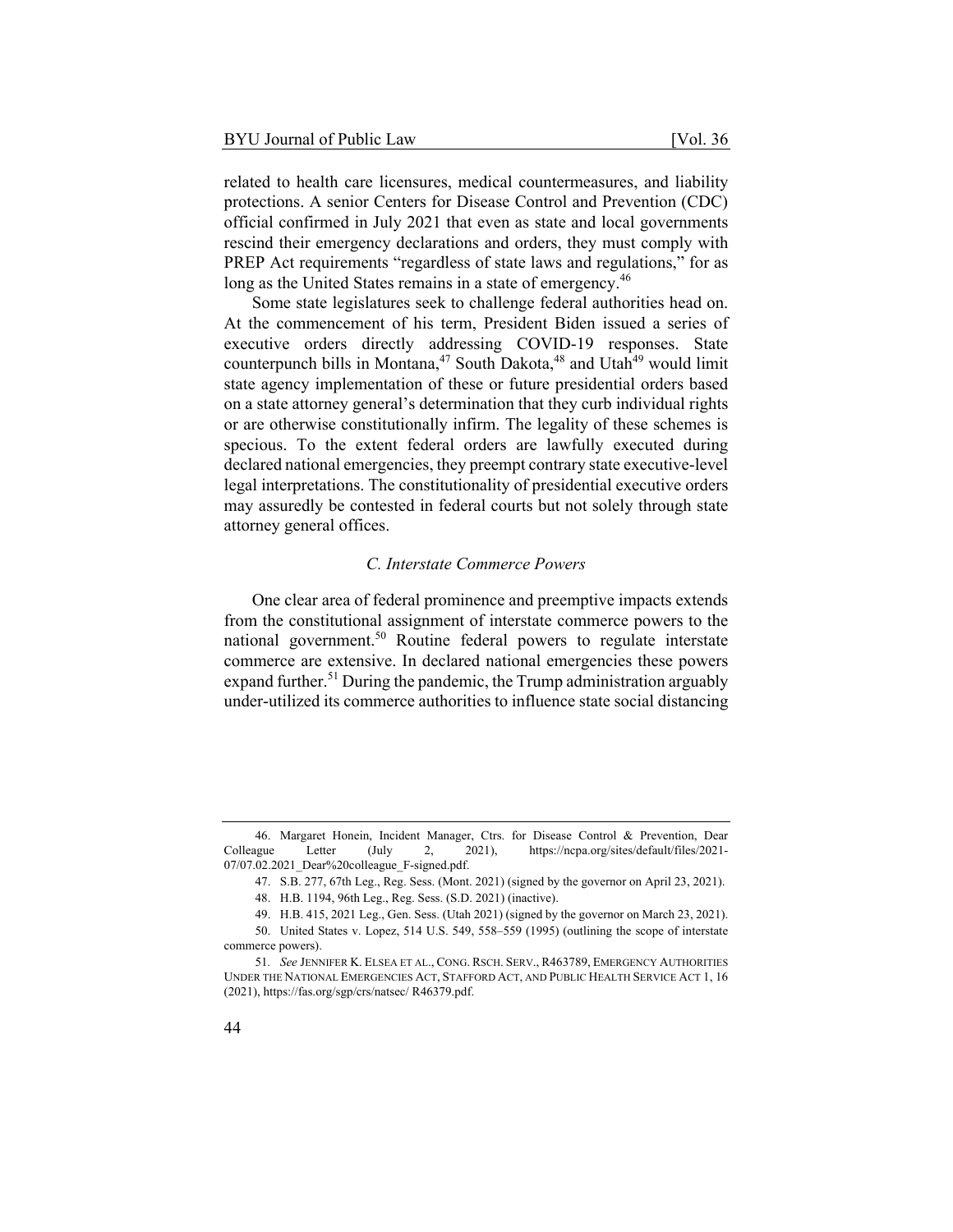related to health care licensures, medical countermeasures, and liability protections. A senior Centers for Disease Control and Prevention (CDC) official confirmed in July 2021 that even as state and local governments rescind their emergency declarations and orders, they must comply with PREP Act requirements "regardless of state laws and regulations," for as long as the United States remains in a state of emergency.<sup>46</sup>

Some state legislatures seek to challenge federal authorities head on. At the commencement of his term, President Biden issued a series of executive orders directly addressing COVID-19 responses. State counterpunch bills in Montana,  $47$  South Dakota,  $48$  and Utah<sup>49</sup> would limit state agency implementation of these or future presidential orders based on a state attorney general's determination that they curb individual rights or are otherwise constitutionally infirm. The legality of these schemes is specious. To the extent federal orders are lawfully executed during declared national emergencies, they preempt contrary state executive-level legal interpretations. The constitutionality of presidential executive orders may assuredly be contested in federal courts but not solely through state attorney general offices.

#### *C. Interstate Commerce Powers*

One clear area of federal prominence and preemptive impacts extends from the constitutional assignment of interstate commerce powers to the national government.<sup>50</sup> Routine federal powers to regulate interstate commerce are extensive. In declared national emergencies these powers expand further.<sup>51</sup> During the pandemic, the Trump administration arguably under-utilized its commerce authorities to influence state social distancing

<sup>46.</sup> Margaret Honein, Incident Manager, Ctrs. for Disease Control & Prevention, Dear Colleague Letter (July 2, 2021), https://ncpa.org/sites/default/files/2021- 07/07.02.2021\_Dear%20colleague\_F-signed.pdf.

<sup>47.</sup> S.B. 277, 67th Leg., Reg. Sess. (Mont. 2021) (signed by the governor on April 23, 2021).

<sup>48.</sup> H.B. 1194, 96th Leg., Reg. Sess. (S.D. 2021) (inactive).

<sup>49.</sup> H.B. 415, 2021 Leg., Gen. Sess. (Utah 2021) (signed by the governor on March 23, 2021).

<sup>50.</sup> United States v. Lopez, 514 U.S. 549, 558–559 (1995) (outlining the scope of interstate commerce powers).

<sup>51</sup>*. See* JENNIFER K. ELSEA ET AL., CONG. RSCH. SERV., R463789, EMERGENCY AUTHORITIES UNDER THE NATIONAL EMERGENCIES ACT, STAFFORD ACT, AND PUBLIC HEALTH SERVICE ACT 1, 16 (2021), https://fas.org/sgp/crs/natsec/ R46379.pdf.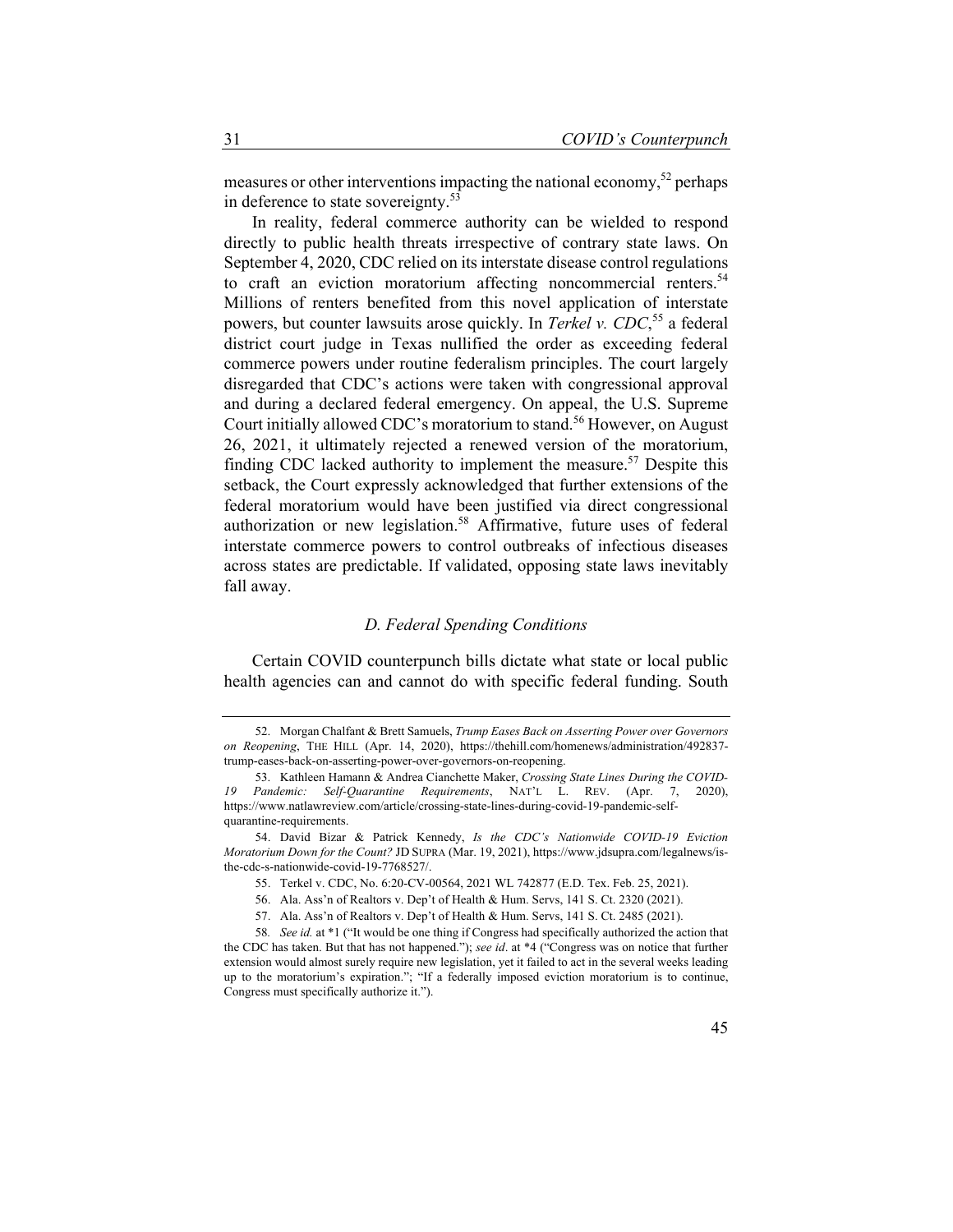measures or other interventions impacting the national economy,<sup>52</sup> perhaps in deference to state sovereignty.<sup>53</sup>

In reality, federal commerce authority can be wielded to respond directly to public health threats irrespective of contrary state laws. On September 4, 2020, CDC relied on its interstate disease control regulations to craft an eviction moratorium affecting noncommercial renters.<sup>54</sup> Millions of renters benefited from this novel application of interstate powers, but counter lawsuits arose quickly. In *Terkel v. CDC*, 55 a federal district court judge in Texas nullified the order as exceeding federal commerce powers under routine federalism principles. The court largely disregarded that CDC's actions were taken with congressional approval and during a declared federal emergency. On appeal, the U.S. Supreme Court initially allowed CDC's moratorium to stand.<sup>56</sup> However, on August 26, 2021, it ultimately rejected a renewed version of the moratorium, finding CDC lacked authority to implement the measure.<sup>57</sup> Despite this setback, the Court expressly acknowledged that further extensions of the federal moratorium would have been justified via direct congressional authorization or new legislation.<sup>58</sup> Affirmative, future uses of federal interstate commerce powers to control outbreaks of infectious diseases across states are predictable. If validated, opposing state laws inevitably fall away.

#### *D. Federal Spending Conditions*

Certain COVID counterpunch bills dictate what state or local public health agencies can and cannot do with specific federal funding. South

<sup>52.</sup> Morgan Chalfant & Brett Samuels, *Trump Eases Back on Asserting Power over Governors on Reopening*, THE HILL (Apr. 14, 2020), https://thehill.com/homenews/administration/492837 trump-eases-back-on-asserting-power-over-governors-on-reopening.

<sup>53.</sup> Kathleen Hamann & Andrea Cianchette Maker, *Crossing State Lines During the COVID-19 Pandemic: Self-Quarantine Requirements*, NAT'L L. REV. (Apr. 7, 2020), https://www.natlawreview.com/article/crossing-state-lines-during-covid-19-pandemic-selfquarantine-requirements.

<sup>54.</sup> David Bizar & Patrick Kennedy, *Is the CDC's Nationwide COVID-19 Eviction Moratorium Down for the Count?* JD SUPRA (Mar. 19, 2021), https://www.jdsupra.com/legalnews/isthe-cdc-s-nationwide-covid-19-7768527/.

<sup>55.</sup> Terkel v. CDC, No. 6:20-CV-00564, 2021 WL 742877 (E.D. Tex. Feb. 25, 2021).

<sup>56.</sup> Ala. Ass'n of Realtors v. Dep't of Health & Hum. Servs, 141 S. Ct. 2320 (2021).

<sup>57.</sup> Ala. Ass'n of Realtors v. Dep't of Health & Hum. Servs, 141 S. Ct. 2485 (2021).

<sup>58</sup>*. See id.* at \*1 ("It would be one thing if Congress had specifically authorized the action that the CDC has taken. But that has not happened."); *see id*. at \*4 ("Congress was on notice that further extension would almost surely require new legislation, yet it failed to act in the several weeks leading up to the moratorium's expiration."; "If a federally imposed eviction moratorium is to continue, Congress must specifically authorize it.").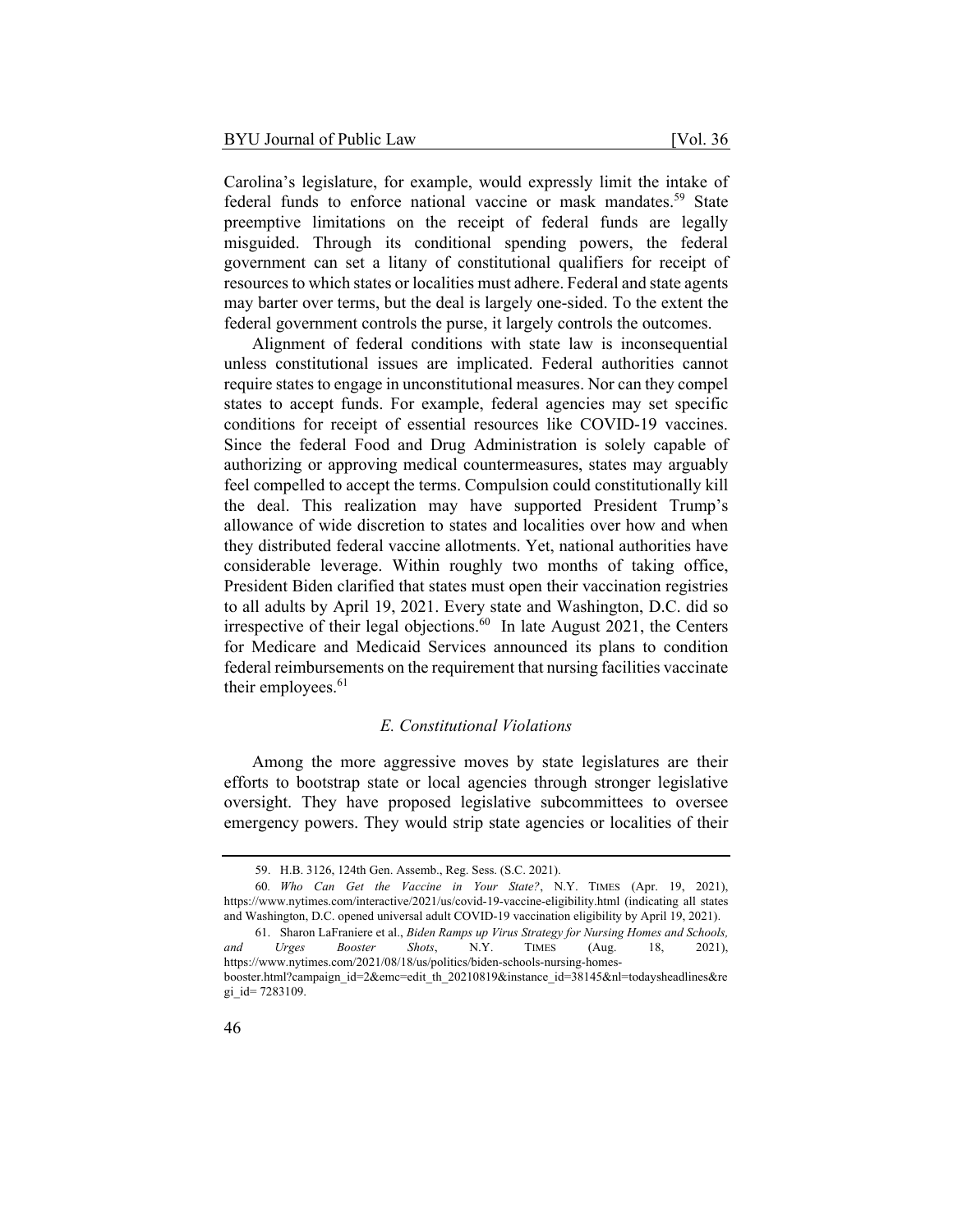Carolina's legislature, for example, would expressly limit the intake of federal funds to enforce national vaccine or mask mandates.<sup>59</sup> State preemptive limitations on the receipt of federal funds are legally misguided. Through its conditional spending powers, the federal government can set a litany of constitutional qualifiers for receipt of resources to which states or localities must adhere. Federal and state agents may barter over terms, but the deal is largely one-sided. To the extent the federal government controls the purse, it largely controls the outcomes.

Alignment of federal conditions with state law is inconsequential unless constitutional issues are implicated. Federal authorities cannot require states to engage in unconstitutional measures. Nor can they compel states to accept funds. For example, federal agencies may set specific conditions for receipt of essential resources like COVID-19 vaccines. Since the federal Food and Drug Administration is solely capable of authorizing or approving medical countermeasures, states may arguably feel compelled to accept the terms. Compulsion could constitutionally kill the deal. This realization may have supported President Trump's allowance of wide discretion to states and localities over how and when they distributed federal vaccine allotments. Yet, national authorities have considerable leverage. Within roughly two months of taking office, President Biden clarified that states must open their vaccination registries to all adults by April 19, 2021. Every state and Washington, D.C. did so irrespective of their legal objections. $^{60}$  In late August 2021, the Centers for Medicare and Medicaid Services announced its plans to condition federal reimbursements on the requirement that nursing facilities vaccinate their employees. $61$ 

#### *E. Constitutional Violations*

Among the more aggressive moves by state legislatures are their efforts to bootstrap state or local agencies through stronger legislative oversight. They have proposed legislative subcommittees to oversee emergency powers. They would strip state agencies or localities of their

<sup>59.</sup> H.B. 3126, 124th Gen. Assemb., Reg. Sess. (S.C. 2021).

<sup>60</sup>*. Who Can Get the Vaccine in Your State?*, N.Y. TIMES (Apr. 19, 2021), https://www.nytimes.com/interactive/2021/us/covid-19-vaccine-eligibility.html (indicating all states and Washington, D.C. opened universal adult COVID-19 vaccination eligibility by April 19, 2021).

<sup>61.</sup> Sharon LaFraniere et al., *Biden Ramps up Virus Strategy for Nursing Homes and Schools, and Urges Booster Shots*, N.Y. TIMES (Aug. 18, 2021), https://www.nytimes.com/2021/08/18/us/politics/biden-schools-nursing-homes-

booster.html?campaign\_id=2&emc=edit\_th\_20210819&instance\_id=38145&nl=todaysheadlines&re gi\_id= 7283109.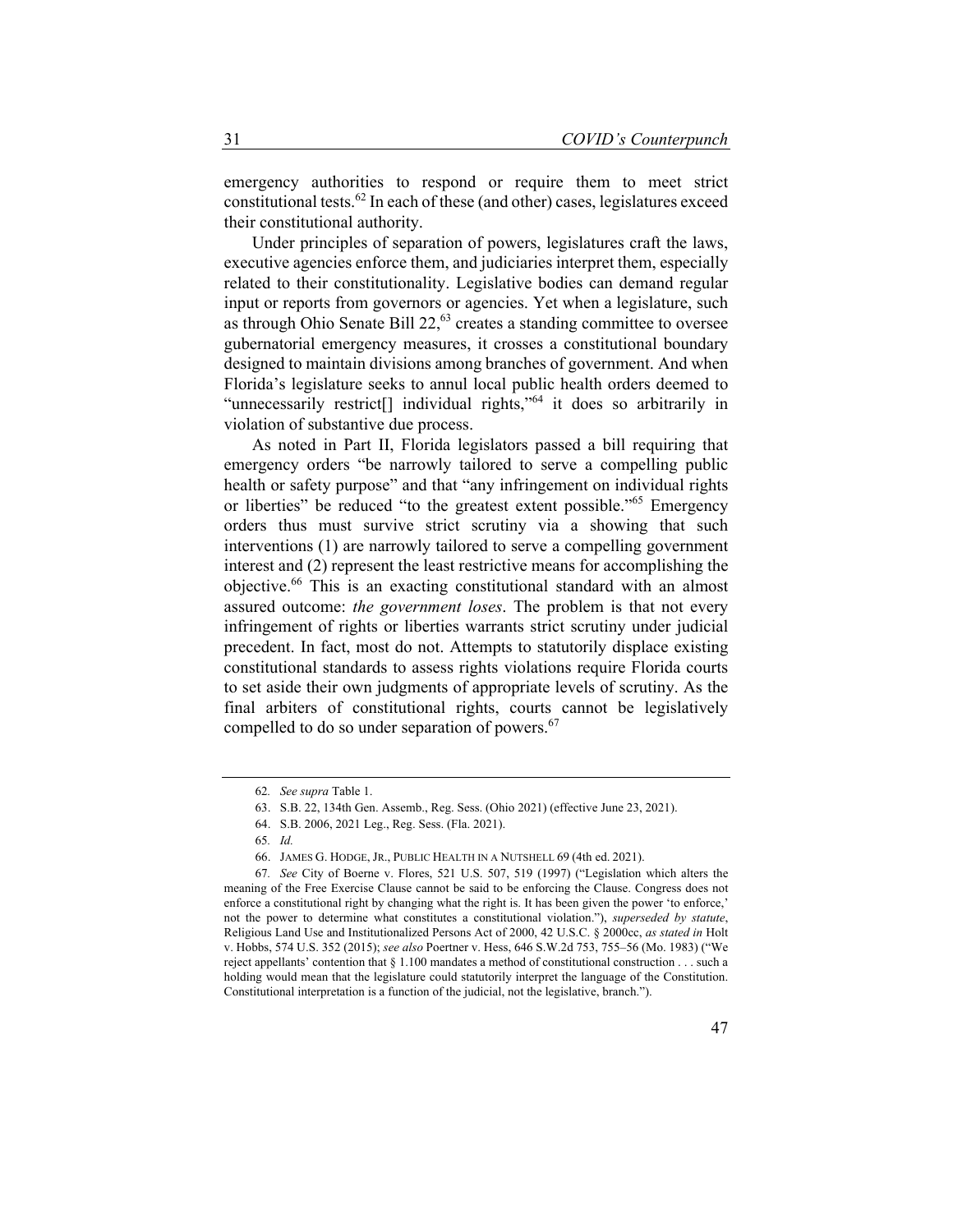emergency authorities to respond or require them to meet strict constitutional tests.62 In each of these (and other) cases, legislatures exceed their constitutional authority.

Under principles of separation of powers, legislatures craft the laws, executive agencies enforce them, and judiciaries interpret them, especially related to their constitutionality. Legislative bodies can demand regular input or reports from governors or agencies. Yet when a legislature, such as through Ohio Senate Bill  $22<sup>63</sup>$  creates a standing committee to oversee gubernatorial emergency measures, it crosses a constitutional boundary designed to maintain divisions among branches of government. And when Florida's legislature seeks to annul local public health orders deemed to "unnecessarily restrict[] individual rights,"64 it does so arbitrarily in violation of substantive due process.

As noted in Part II, Florida legislators passed a bill requiring that emergency orders "be narrowly tailored to serve a compelling public health or safety purpose" and that "any infringement on individual rights or liberties" be reduced "to the greatest extent possible."<sup>65</sup> Emergency orders thus must survive strict scrutiny via a showing that such interventions (1) are narrowly tailored to serve a compelling government interest and (2) represent the least restrictive means for accomplishing the objective.66 This is an exacting constitutional standard with an almost assured outcome: *the government loses*. The problem is that not every infringement of rights or liberties warrants strict scrutiny under judicial precedent. In fact, most do not. Attempts to statutorily displace existing constitutional standards to assess rights violations require Florida courts to set aside their own judgments of appropriate levels of scrutiny. As the final arbiters of constitutional rights, courts cannot be legislatively compelled to do so under separation of powers.<sup>67</sup>

<sup>62</sup>*. See supra* Table 1.

<sup>63.</sup> S.B. 22, 134th Gen. Assemb., Reg. Sess. (Ohio 2021) (effective June 23, 2021).

<sup>64.</sup> S.B. 2006, 2021 Leg., Reg. Sess. (Fla. 2021).

<sup>65</sup>*. Id.*

<sup>66.</sup> JAMES G. HODGE, JR., PUBLIC HEALTH IN A NUTSHELL 69 (4th ed. 2021).

<sup>67</sup>*. See* City of Boerne v. Flores, 521 U.S. 507, 519 (1997) ("Legislation which alters the meaning of the Free Exercise Clause cannot be said to be enforcing the Clause. Congress does not enforce a constitutional right by changing what the right is. It has been given the power 'to enforce,' not the power to determine what constitutes a constitutional violation."), *superseded by statute*, Religious Land Use and Institutionalized Persons Act of 2000, 42 U.S.C. § 2000cc, *as stated in* Holt v. Hobbs, 574 U.S. 352 (2015); *see also* Poertner v. Hess, 646 S.W.2d 753, 755–56 (Mo. 1983) ("We reject appellants' contention that § 1.100 mandates a method of constitutional construction . . . such a holding would mean that the legislature could statutorily interpret the language of the Constitution. Constitutional interpretation is a function of the judicial, not the legislative, branch.").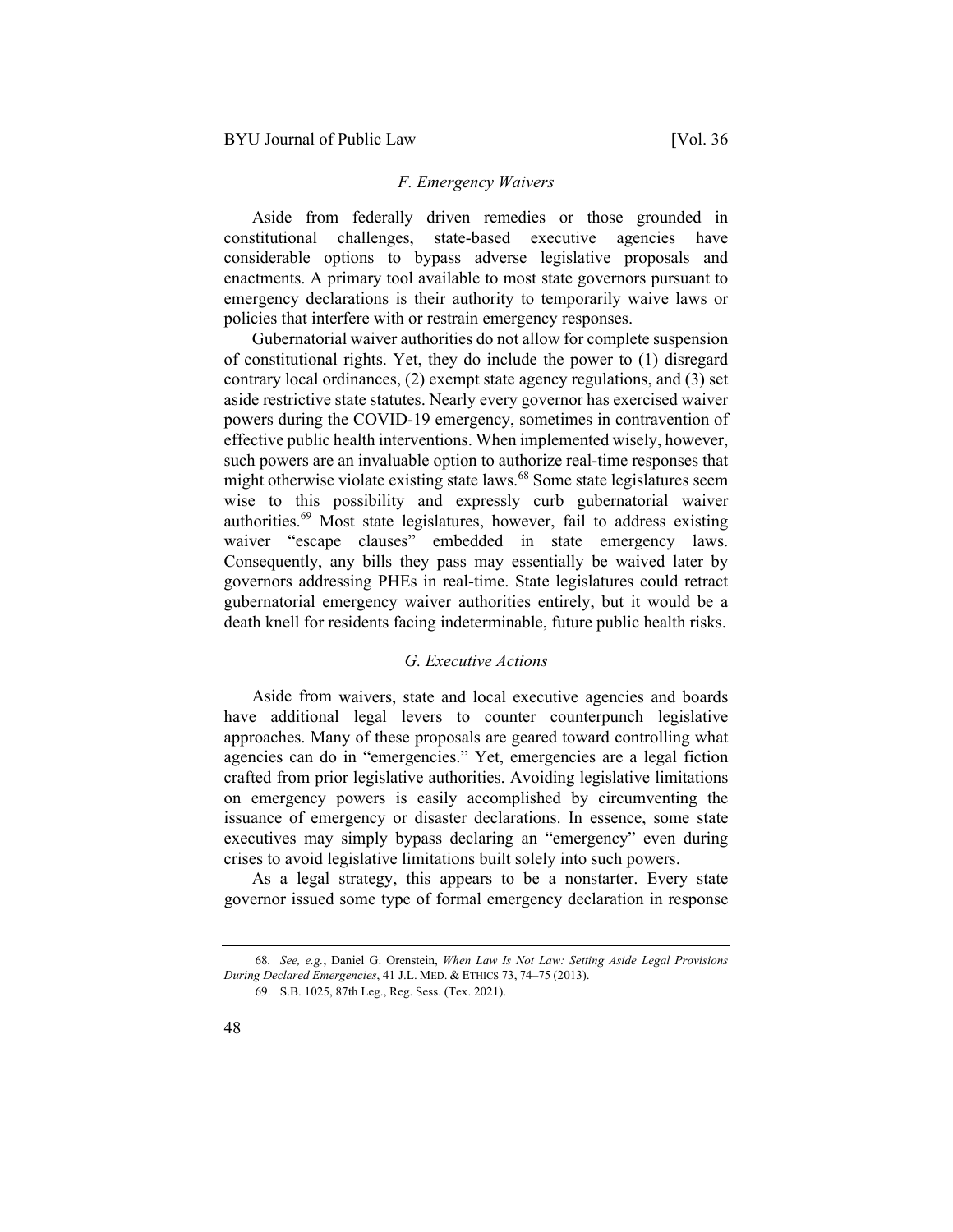#### *F. Emergency Waivers*

Aside from federally driven remedies or those grounded in constitutional challenges, state-based executive agencies have considerable options to bypass adverse legislative proposals and enactments. A primary tool available to most state governors pursuant to emergency declarations is their authority to temporarily waive laws or policies that interfere with or restrain emergency responses.

Gubernatorial waiver authorities do not allow for complete suspension of constitutional rights. Yet, they do include the power to (1) disregard contrary local ordinances, (2) exempt state agency regulations, and (3) set aside restrictive state statutes. Nearly every governor has exercised waiver powers during the COVID-19 emergency, sometimes in contravention of effective public health interventions. When implemented wisely, however, such powers are an invaluable option to authorize real-time responses that might otherwise violate existing state laws.<sup>68</sup> Some state legislatures seem wise to this possibility and expressly curb gubernatorial waiver authorities.<sup>69</sup> Most state legislatures, however, fail to address existing waiver "escape clauses" embedded in state emergency laws. Consequently, any bills they pass may essentially be waived later by governors addressing PHEs in real-time. State legislatures could retract gubernatorial emergency waiver authorities entirely, but it would be a death knell for residents facing indeterminable, future public health risks.

#### *G. Executive Actions*

Aside from waivers, state and local executive agencies and boards have additional legal levers to counter counterpunch legislative approaches. Many of these proposals are geared toward controlling what agencies can do in "emergencies." Yet, emergencies are a legal fiction crafted from prior legislative authorities. Avoiding legislative limitations on emergency powers is easily accomplished by circumventing the issuance of emergency or disaster declarations. In essence, some state executives may simply bypass declaring an "emergency" even during crises to avoid legislative limitations built solely into such powers.

As a legal strategy, this appears to be a nonstarter. Every state governor issued some type of formal emergency declaration in response

<sup>68</sup>*. See, e.g.*, Daniel G. Orenstein, *When Law Is Not Law: Setting Aside Legal Provisions During Declared Emergencies*, 41 J.L. MED. & ETHICS 73, 74–75 (2013).

<sup>69.</sup> S.B. 1025, 87th Leg., Reg. Sess. (Tex. 2021).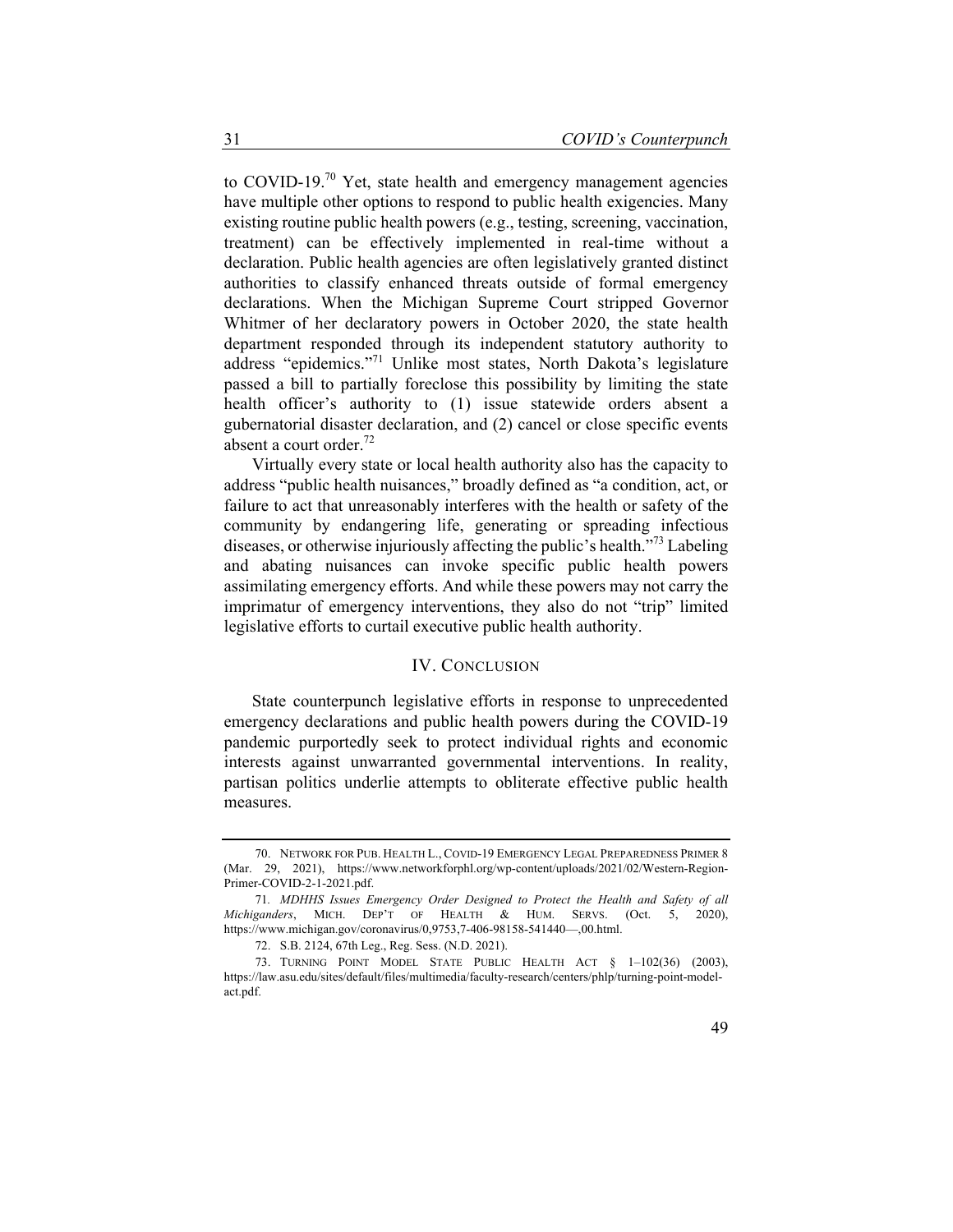to COVID-19.<sup>70</sup> Yet, state health and emergency management agencies have multiple other options to respond to public health exigencies. Many existing routine public health powers (e.g., testing, screening, vaccination, treatment) can be effectively implemented in real-time without a declaration. Public health agencies are often legislatively granted distinct authorities to classify enhanced threats outside of formal emergency declarations. When the Michigan Supreme Court stripped Governor Whitmer of her declaratory powers in October 2020, the state health department responded through its independent statutory authority to address "epidemics."<sup>71</sup> Unlike most states, North Dakota's legislature passed a bill to partially foreclose this possibility by limiting the state health officer's authority to (1) issue statewide orders absent a gubernatorial disaster declaration, and (2) cancel or close specific events absent a court order.<sup>72</sup>

Virtually every state or local health authority also has the capacity to address "public health nuisances," broadly defined as "a condition, act, or failure to act that unreasonably interferes with the health or safety of the community by endangering life, generating or spreading infectious diseases, or otherwise injuriously affecting the public's health."73 Labeling and abating nuisances can invoke specific public health powers assimilating emergency efforts. And while these powers may not carry the imprimatur of emergency interventions, they also do not "trip" limited legislative efforts to curtail executive public health authority.

#### IV. CONCLUSION

State counterpunch legislative efforts in response to unprecedented emergency declarations and public health powers during the COVID-19 pandemic purportedly seek to protect individual rights and economic interests against unwarranted governmental interventions. In reality, partisan politics underlie attempts to obliterate effective public health measures.

<sup>70.</sup> NETWORK FOR PUB. HEALTH L., COVID-19 EMERGENCY LEGAL PREPAREDNESS PRIMER 8 (Mar. 29, 2021), https://www.networkforphl.org/wp-content/uploads/2021/02/Western-Region-Primer-COVID-2-1-2021.pdf.

<sup>71</sup>*. MDHHS Issues Emergency Order Designed to Protect the Health and Safety of all Michiganders*, MICH. DEP'T OF HEALTH & HUM. SERVS. (Oct. 5, 2020), https://www.michigan.gov/coronavirus/0,9753,7-406-98158-541440—,00.html.

<sup>72.</sup> S.B. 2124, 67th Leg., Reg. Sess. (N.D. 2021).

<sup>73.</sup> TURNING POINT MODEL STATE PUBLIC HEALTH ACT § 1–102(36) (2003), https://law.asu.edu/sites/default/files/multimedia/faculty-research/centers/phlp/turning-point-modelact.pdf.